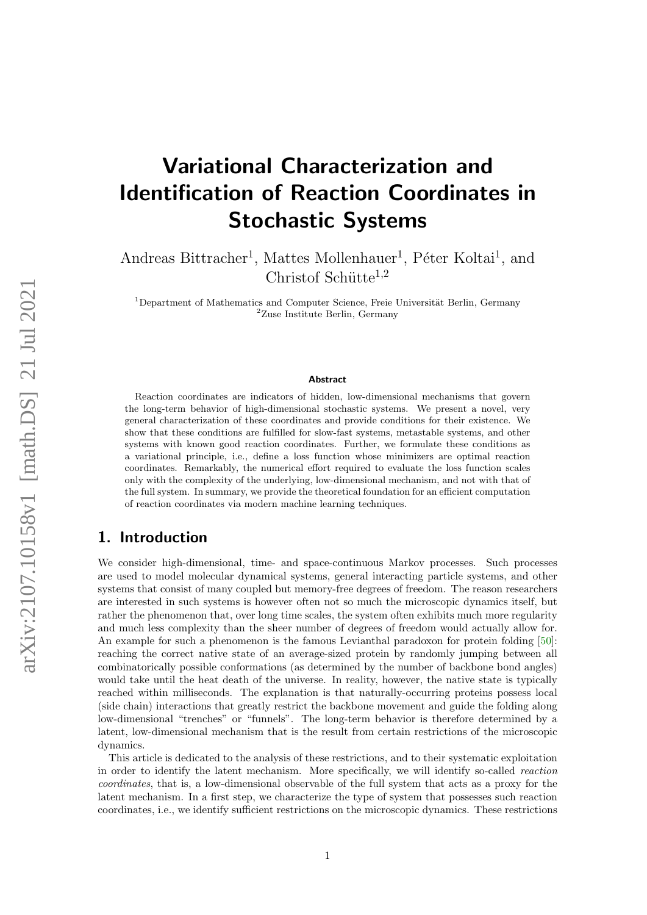# Variational Characterization and Identification of Reaction Coordinates in Stochastic Systems

Andreas Bittracher<sup>1</sup>, Mattes Mollenhauer<sup>1</sup>, Péter Koltai<sup>1</sup>, and Christof Schütte<sup>1,2</sup>

 $1$ Department of Mathematics and Computer Science, Freie Universität Berlin, Germany  $2$ Zuse Institute Berlin, Germany

#### **Abstract**

Reaction coordinates are indicators of hidden, low-dimensional mechanisms that govern the long-term behavior of high-dimensional stochastic systems. We present a novel, very general characterization of these coordinates and provide conditions for their existence. We show that these conditions are fulfilled for slow-fast systems, metastable systems, and other systems with known good reaction coordinates. Further, we formulate these conditions as a variational principle, i.e., define a loss function whose minimizers are optimal reaction coordinates. Remarkably, the numerical effort required to evaluate the loss function scales only with the complexity of the underlying, low-dimensional mechanism, and not with that of the full system. In summary, we provide the theoretical foundation for an efficient computation of reaction coordinates via modern machine learning techniques.

## 1. Introduction

We consider high-dimensional, time- and space-continuous Markov processes. Such processes are used to model molecular dynamical systems, general interacting particle systems, and other systems that consist of many coupled but memory-free degrees of freedom. The reason researchers are interested in such systems is however often not so much the microscopic dynamics itself, but rather the phenomenon that, over long time scales, the system often exhibits much more regularity and much less complexity than the sheer number of degrees of freedom would actually allow for. An example for such a phenomenon is the famous Levianthal paradoxon for protein folding [\[50\]](#page-29-0): reaching the correct native state of an average-sized protein by randomly jumping between all combinatorically possible conformations (as determined by the number of backbone bond angles) would take until the heat death of the universe. In reality, however, the native state is typically reached within milliseconds. The explanation is that naturally-occurring proteins possess local (side chain) interactions that greatly restrict the backbone movement and guide the folding along low-dimensional "trenches" or "funnels". The long-term behavior is therefore determined by a latent, low-dimensional mechanism that is the result from certain restrictions of the microscopic dynamics.

This article is dedicated to the analysis of these restrictions, and to their systematic exploitation in order to identify the latent mechanism. More specifically, we will identify so-called reaction coordinates, that is, a low-dimensional observable of the full system that acts as a proxy for the latent mechanism. In a first step, we characterize the type of system that possesses such reaction coordinates, i.e., we identify sufficient restrictions on the microscopic dynamics. These restrictions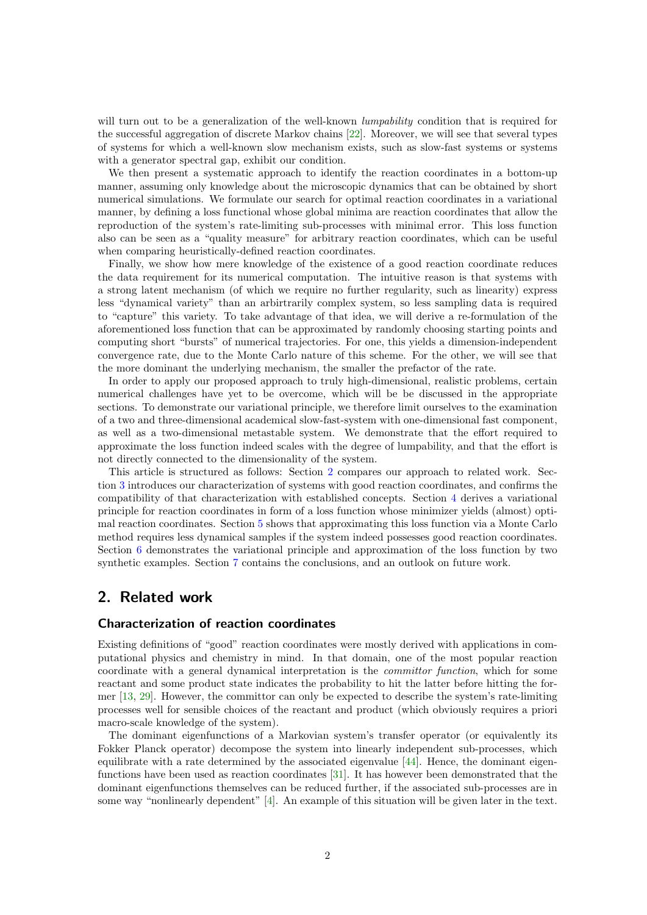will turn out to be a generalization of the well-known *lumpability* condition that is required for the successful aggregation of discrete Markov chains [\[22\]](#page-28-0). Moreover, we will see that several types of systems for which a well-known slow mechanism exists, such as slow-fast systems or systems with a generator spectral gap, exhibit our condition.

We then present a systematic approach to identify the reaction coordinates in a bottom-up manner, assuming only knowledge about the microscopic dynamics that can be obtained by short numerical simulations. We formulate our search for optimal reaction coordinates in a variational manner, by defining a loss functional whose global minima are reaction coordinates that allow the reproduction of the system's rate-limiting sub-processes with minimal error. This loss function also can be seen as a "quality measure" for arbitrary reaction coordinates, which can be useful when comparing heuristically-defined reaction coordinates.

Finally, we show how mere knowledge of the existence of a good reaction coordinate reduces the data requirement for its numerical computation. The intuitive reason is that systems with a strong latent mechanism (of which we require no further regularity, such as linearity) express less "dynamical variety" than an arbirtrarily complex system, so less sampling data is required to "capture" this variety. To take advantage of that idea, we will derive a re-formulation of the aforementioned loss function that can be approximated by randomly choosing starting points and computing short "bursts" of numerical trajectories. For one, this yields a dimension-independent convergence rate, due to the Monte Carlo nature of this scheme. For the other, we will see that the more dominant the underlying mechanism, the smaller the prefactor of the rate.

In order to apply our proposed approach to truly high-dimensional, realistic problems, certain numerical challenges have yet to be overcome, which will be be discussed in the appropriate sections. To demonstrate our variational principle, we therefore limit ourselves to the examination of a two and three-dimensional academical slow-fast-system with one-dimensional fast component, as well as a two-dimensional metastable system. We demonstrate that the effort required to approximate the loss function indeed scales with the degree of lumpability, and that the effort is not directly connected to the dimensionality of the system.

This article is structured as follows: Section [2](#page-1-0) compares our approach to related work. Section [3](#page-3-0) introduces our characterization of systems with good reaction coordinates, and confirms the compatibility of that characterization with established concepts. Section [4](#page-12-0) derives a variational principle for reaction coordinates in form of a loss function whose minimizer yields (almost) optimal reaction coordinates. Section [5](#page-15-0) shows that approximating this loss function via a Monte Carlo method requires less dynamical samples if the system indeed possesses good reaction coordinates. Section [6](#page-18-0) demonstrates the variational principle and approximation of the loss function by two synthetic examples. Section [7](#page-25-0) contains the conclusions, and an outlook on future work.

## <span id="page-1-0"></span>2. Related work

#### Characterization of reaction coordinates

Existing definitions of "good" reaction coordinates were mostly derived with applications in computational physics and chemistry in mind. In that domain, one of the most popular reaction coordinate with a general dynamical interpretation is the committor function, which for some reactant and some product state indicates the probability to hit the latter before hitting the former [\[13,](#page-27-0) [29\]](#page-28-1). However, the committor can only be expected to describe the system's rate-limiting processes well for sensible choices of the reactant and product (which obviously requires a priori macro-scale knowledge of the system).

The dominant eigenfunctions of a Markovian system's transfer operator (or equivalently its Fokker Planck operator) decompose the system into linearly independent sub-processes, which equilibrate with a rate determined by the associated eigenvalue [\[44\]](#page-29-1). Hence, the dominant eigenfunctions have been used as reaction coordinates [\[31\]](#page-28-2). It has however been demonstrated that the dominant eigenfunctions themselves can be reduced further, if the associated sub-processes are in some way "nonlinearly dependent" [\[4\]](#page-27-1). An example of this situation will be given later in the text.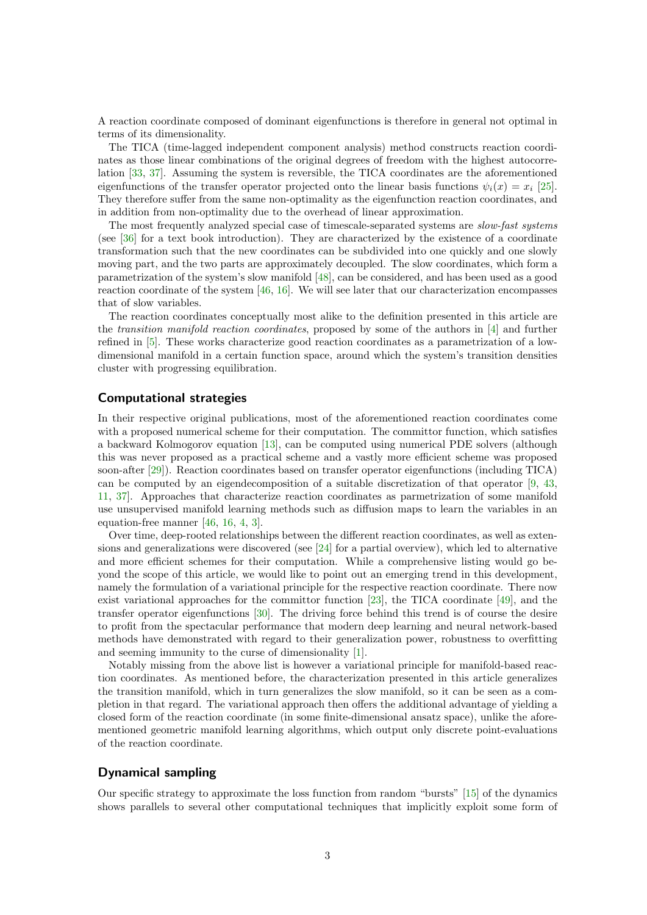A reaction coordinate composed of dominant eigenfunctions is therefore in general not optimal in terms of its dimensionality.

The TICA (time-lagged independent component analysis) method constructs reaction coordinates as those linear combinations of the original degrees of freedom with the highest autocorrelation [\[33,](#page-28-3) [37\]](#page-28-4). Assuming the system is reversible, the TICA coordinates are the aforementioned eigenfunctions of the transfer operator projected onto the linear basis functions  $\psi_i(x) = x_i$  [\[25\]](#page-28-5). They therefore suffer from the same non-optimality as the eigenfunction reaction coordinates, and in addition from non-optimality due to the overhead of linear approximation.

The most frequently analyzed special case of timescale-separated systems are slow-fast systems (see [\[36\]](#page-28-6) for a text book introduction). They are characterized by the existence of a coordinate transformation such that the new coordinates can be subdivided into one quickly and one slowly moving part, and the two parts are approximately decoupled. The slow coordinates, which form a parametrization of the system's slow manifold [\[48\]](#page-29-2), can be considered, and has been used as a good reaction coordinate of the system [\[46,](#page-29-3) [16\]](#page-27-2). We will see later that our characterization encompasses that of slow variables.

The reaction coordinates conceptually most alike to the definition presented in this article are the transition manifold reaction coordinates, proposed by some of the authors in [\[4\]](#page-27-1) and further refined in [\[5\]](#page-27-3). These works characterize good reaction coordinates as a parametrization of a lowdimensional manifold in a certain function space, around which the system's transition densities cluster with progressing equilibration.

### Computational strategies

In their respective original publications, most of the aforementioned reaction coordinates come with a proposed numerical scheme for their computation. The committor function, which satisfies a backward Kolmogorov equation [\[13\]](#page-27-0), can be computed using numerical PDE solvers (although this was never proposed as a practical scheme and a vastly more efficient scheme was proposed soon-after [\[29\]](#page-28-1)). Reaction coordinates based on transfer operator eigenfunctions (including TICA) can be computed by an eigendecomposition of a suitable discretization of that operator [\[9,](#page-27-4) [43,](#page-29-4) [11,](#page-27-5) [37\]](#page-28-4). Approaches that characterize reaction coordinates as parmetrization of some manifold use unsupervised manifold learning methods such as diffusion maps to learn the variables in an equation-free manner [\[46,](#page-29-3) [16,](#page-27-2) [4,](#page-27-1) [3\]](#page-27-6).

Over time, deep-rooted relationships between the different reaction coordinates, as well as extensions and generalizations were discovered (see [\[24\]](#page-28-7) for a partial overview), which led to alternative and more efficient schemes for their computation. While a comprehensive listing would go beyond the scope of this article, we would like to point out an emerging trend in this development, namely the formulation of a variational principle for the respective reaction coordinate. There now exist variational approaches for the committor function [\[23\]](#page-28-8), the TICA coordinate [\[49\]](#page-29-5), and the transfer operator eigenfunctions [\[30\]](#page-28-9). The driving force behind this trend is of course the desire to profit from the spectacular performance that modern deep learning and neural network-based methods have demonstrated with regard to their generalization power, robustness to overfitting and seeming immunity to the curse of dimensionality [\[1\]](#page-26-0).

Notably missing from the above list is however a variational principle for manifold-based reaction coordinates. As mentioned before, the characterization presented in this article generalizes the transition manifold, which in turn generalizes the slow manifold, so it can be seen as a completion in that regard. The variational approach then offers the additional advantage of yielding a closed form of the reaction coordinate (in some finite-dimensional ansatz space), unlike the aforementioned geometric manifold learning algorithms, which output only discrete point-evaluations of the reaction coordinate.

#### Dynamical sampling

Our specific strategy to approximate the loss function from random "bursts" [\[15\]](#page-27-7) of the dynamics shows parallels to several other computational techniques that implicitly exploit some form of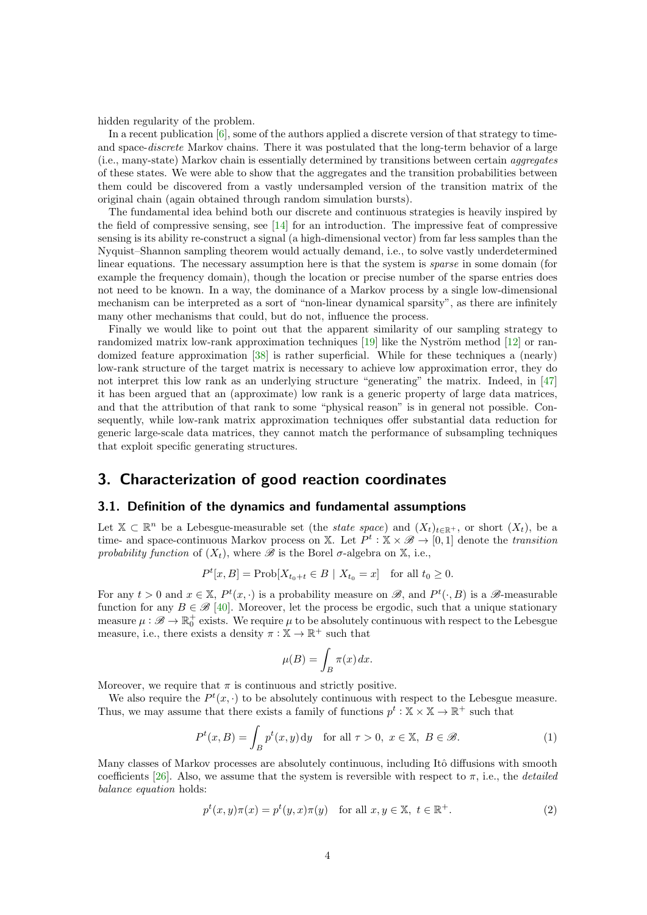hidden regularity of the problem.

In a recent publication [\[6\]](#page-27-8), some of the authors applied a discrete version of that strategy to timeand space-discrete Markov chains. There it was postulated that the long-term behavior of a large (i.e., many-state) Markov chain is essentially determined by transitions between certain aggregates of these states. We were able to show that the aggregates and the transition probabilities between them could be discovered from a vastly undersampled version of the transition matrix of the original chain (again obtained through random simulation bursts).

The fundamental idea behind both our discrete and continuous strategies is heavily inspired by the field of compressive sensing, see  $[14]$  for an introduction. The impressive feat of compressive sensing is its ability re-construct a signal (a high-dimensional vector) from far less samples than the Nyquist–Shannon sampling theorem would actually demand, i.e., to solve vastly underdetermined linear equations. The necessary assumption here is that the system is *sparse* in some domain (for example the frequency domain), though the location or precise number of the sparse entries does not need to be known. In a way, the dominance of a Markov process by a single low-dimensional mechanism can be interpreted as a sort of "non-linear dynamical sparsity", as there are infinitely many other mechanisms that could, but do not, influence the process.

Finally we would like to point out that the apparent similarity of our sampling strategy to randomized matrix low-rank approximation techniques  $[19]$  like the Nyström method  $[12]$  or randomized feature approximation [\[38\]](#page-28-10) is rather superficial. While for these techniques a (nearly) low-rank structure of the target matrix is necessary to achieve low approximation error, they do not interpret this low rank as an underlying structure "generating" the matrix. Indeed, in [\[47\]](#page-29-6) it has been argued that an (approximate) low rank is a generic property of large data matrices, and that the attribution of that rank to some "physical reason" is in general not possible. Consequently, while low-rank matrix approximation techniques offer substantial data reduction for generic large-scale data matrices, they cannot match the performance of subsampling techniques that exploit specific generating structures.

## <span id="page-3-0"></span>3. Characterization of good reaction coordinates

#### 3.1. Definition of the dynamics and fundamental assumptions

Let  $\mathbb{X} \subset \mathbb{R}^n$  be a Lebesgue-measurable set (the *state space*) and  $(X_t)_{t \in \mathbb{R}^+}$ , or short  $(X_t)$ , be a time- and space-continuous Markov process on X. Let  $P^t : X \times \mathscr{B} \to [0,1]$  denote the *transition* probability function of  $(X_t)$ , where  $\mathscr B$  is the Borel  $\sigma$ -algebra on  $\mathbb X$ , i.e.,

$$
P^{t}[x, B] = \text{Prob}[X_{t_0+t} \in B \mid X_{t_0} = x] \text{ for all } t_0 \ge 0.
$$

For any  $t > 0$  and  $x \in \mathbb{X}$ ,  $P^t(x, \cdot)$  is a probability measure on  $\mathscr{B}$ , and  $P^t(\cdot, B)$  is a  $\mathscr{B}$ -measurable function for any  $B \in \mathscr{B}$  [\[40\]](#page-28-11). Moreover, let the process be ergodic, such that a unique stationary measure  $\mu : \mathscr{B} \to \mathbb{R}_0^+$  exists. We require  $\mu$  to be absolutely continuous with respect to the Lebesgue measure, i.e., there exists a density  $\pi: \mathbb{X} \to \mathbb{R}^+$  such that

$$
\mu(B) = \int_B \pi(x) \, dx.
$$

Moreover, we require that  $\pi$  is continuous and strictly positive.

We also require the  $P^t(x, \cdot)$  to be absolutely continuous with respect to the Lebesgue measure. Thus, we may assume that there exists a family of functions  $p^t : \mathbb{X} \times \mathbb{X} \to \mathbb{R}^+$  such that

$$
P^{t}(x, B) = \int_{B} p^{t}(x, y) dy \quad \text{for all } \tau > 0, \ x \in \mathbb{X}, \ B \in \mathcal{B}.
$$
 (1)

Many classes of Markov processes are absolutely continuous, including Itô diffusions with smooth coefficients [\[26\]](#page-28-12). Also, we assume that the system is reversible with respect to  $\pi$ , i.e., the *detailed* balance equation holds:

<span id="page-3-1"></span>
$$
p^{t}(x, y)\pi(x) = p^{t}(y, x)\pi(y) \quad \text{for all } x, y \in \mathbb{X}, \ t \in \mathbb{R}^{+}.
$$
 (2)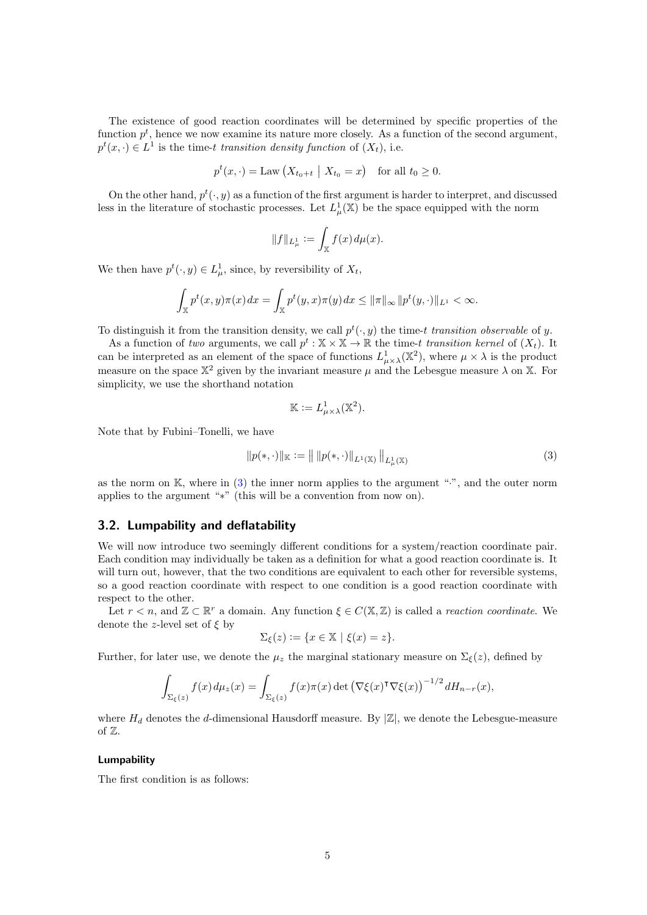The existence of good reaction coordinates will be determined by specific properties of the function  $p^t$ , hence we now examine its nature more closely. As a function of the second argument,  $p^t(x, \cdot) \in L^1$  is the time-t transition density function of  $(X_t)$ , i.e.

$$
p^{t}(x,\cdot) = \text{Law}\left(X_{t_0+t} \mid X_{t_0} = x\right) \quad \text{for all } t_0 \ge 0.
$$

On the other hand,  $p^t(\cdot, y)$  as a function of the first argument is harder to interpret, and discussed less in the literature of stochastic processes. Let  $L^1_\mu(\mathbb{X})$  be the space equipped with the norm

$$
||f||_{L^1_\mu} := \int_{\mathbb{X}} f(x) d\mu(x).
$$

We then have  $p^t(\cdot, y) \in L^1_\mu$ , since, by reversibility of  $X_t$ ,

$$
\int_{\mathbb{X}} p^t(x, y)\pi(x) dx = \int_{\mathbb{X}} p^t(y, x)\pi(y) dx \le ||\pi||_{\infty} ||p^t(y, \cdot)||_{L^1} < \infty.
$$

To distinguish it from the transition density, we call  $p^t(\cdot, y)$  the time-t transition observable of y.

As a function of two arguments, we call  $p^t : \mathbb{X} \times \mathbb{X} \to \mathbb{R}$  the time-t transition kernel of  $(X_t)$ . It can be interpreted as an element of the space of functions  $L^1_{\mu\times\lambda}(\mathbb{X}^2)$ , where  $\mu\times\lambda$  is the product measure on the space  $\mathbb{X}^2$  given by the invariant measure  $\mu$  and the Lebesgue measure  $\lambda$  on  $\mathbb{X}$ . For simplicity, we use the shorthand notation

<span id="page-4-0"></span>
$$
\mathbb{K} := L^1_{\mu \times \lambda}(\mathbb{X}^2).
$$

Note that by Fubini–Tonelli, we have

$$
||p(*, \cdot)||_{\mathbb{K}} := || ||p(*, \cdot)||_{L^{1}(\mathbb{X})} ||_{L^{1}_{\mu}(\mathbb{X})}
$$
\n(3)

as the norm on  $K$ , where in  $(3)$  the inner norm applies to the argument " $\cdot$ ", and the outer norm applies to the argument "∗" (this will be a convention from now on).

## <span id="page-4-1"></span>3.2. Lumpability and deflatability

We will now introduce two seemingly different conditions for a system/reaction coordinate pair. Each condition may individually be taken as a definition for what a good reaction coordinate is. It will turn out, however, that the two conditions are equivalent to each other for reversible systems, so a good reaction coordinate with respect to one condition is a good reaction coordinate with respect to the other.

Let  $r < n$ , and  $\mathbb{Z} \subset \mathbb{R}^r$  a domain. Any function  $\xi \in C(\mathbb{X}, \mathbb{Z})$  is called a *reaction coordinate*. We denote the *z*-level set of  $\xi$  by

$$
\Sigma_{\xi}(z) := \{ x \in \mathbb{X} \mid \xi(x) = z \}.
$$

Further, for later use, we denote the  $\mu_z$  the marginal stationary measure on  $\Sigma_{\xi}(z)$ , defined by

$$
\int_{\Sigma_{\xi}(z)} f(x) d\mu_{z}(x) = \int_{\Sigma_{\xi}(z)} f(x) \pi(x) \det (\nabla \xi(x)^{\intercal} \nabla \xi(x))^{-1/2} dH_{n-r}(x),
$$

where  $H_d$  denotes the d-dimensional Hausdorff measure. By  $|\mathbb{Z}|$ , we denote the Lebesgue-measure of Z.

#### Lumpability

The first condition is as follows: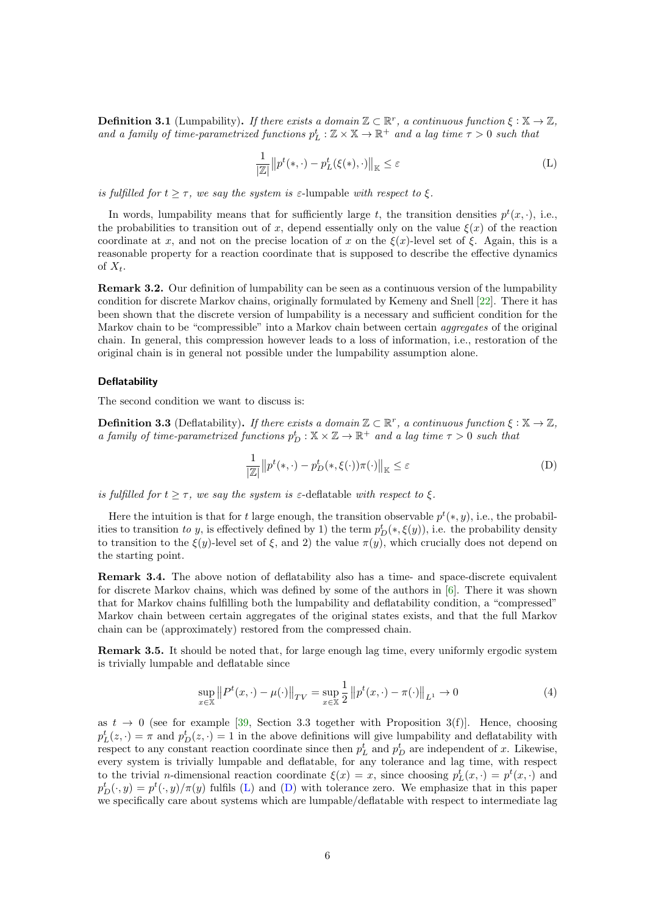**Definition 3.1** (Lumpability). If there exists a domain  $\mathbb{Z} \subset \mathbb{R}^r$ , a continuous function  $\xi : \mathbb{X} \to \mathbb{Z}$ , and a family of time-parametrized functions  $p_L^t : \mathbb{Z} \times \mathbb{X} \to \mathbb{R}^+$  and a lag time  $\tau > 0$  such that

<span id="page-5-0"></span>
$$
\frac{1}{|\mathbb{Z}|} \| p^t(*, \cdot) - p^t_L(\xi(*), \cdot) \|_{\mathbb{K}} \le \varepsilon \tag{L}
$$

is fulfilled for  $t \geq \tau$ , we say the system is  $\varepsilon$ -lumpable with respect to  $\xi$ .

In words, lumpability means that for sufficiently large t, the transition densities  $p^t(x, \cdot)$ , i.e., the probabilities to transition out of x, depend essentially only on the value  $\xi(x)$  of the reaction coordinate at x, and not on the precise location of x on the  $\xi(x)$ -level set of  $\xi$ . Again, this is a reasonable property for a reaction coordinate that is supposed to describe the effective dynamics of  $X_t$ .

Remark 3.2. Our definition of lumpability can be seen as a continuous version of the lumpability condition for discrete Markov chains, originally formulated by Kemeny and Snell [\[22\]](#page-28-0). There it has been shown that the discrete version of lumpability is a necessary and sufficient condition for the Markov chain to be "compressible" into a Markov chain between certain aggregates of the original chain. In general, this compression however leads to a loss of information, i.e., restoration of the original chain is in general not possible under the lumpability assumption alone.

#### **Deflatability**

The second condition we want to discuss is:

**Definition 3.3** (Deflatability). If there exists a domain  $\mathbb{Z} \subset \mathbb{R}^r$ , a continuous function  $\xi : \mathbb{X} \to \mathbb{Z}$ , a family of time-parametrized functions  $p_D^t : \mathbb{X} \times \mathbb{Z} \to \mathbb{R}^+$  and a lag time  $\tau > 0$  such that

<span id="page-5-1"></span>
$$
\frac{1}{|\mathbb{Z}|} \| p^t(*,\cdot) - p_D^t(*,\xi(\cdot))\pi(\cdot) \|_{\mathbb{K}} \le \varepsilon
$$
 (D)

is fulfilled for  $t \geq \tau$ , we say the system is  $\varepsilon$ -deflatable with respect to  $\xi$ .

Here the intuition is that for t large enough, the transition observable  $p^t(*, y)$ , i.e., the probabilities to transition to y, is effectively defined by 1) the term  $p_D^t(*, \xi(y))$ , i.e. the probability density to transition to the  $\xi(y)$ -level set of  $\xi$ , and 2) the value  $\pi(y)$ , which crucially does not depend on the starting point.

Remark 3.4. The above notion of deflatability also has a time- and space-discrete equivalent for discrete Markov chains, which was defined by some of the authors in [\[6\]](#page-27-8). There it was shown that for Markov chains fulfilling both the lumpability and deflatability condition, a "compressed" Markov chain between certain aggregates of the original states exists, and that the full Markov chain can be (approximately) restored from the compressed chain.

<span id="page-5-2"></span>Remark 3.5. It should be noted that, for large enough lag time, every uniformly ergodic system is trivially lumpable and deflatable since

$$
\sup_{x \in \mathbb{X}} \| P^t(x, \cdot) - \mu(\cdot) \|_{TV} = \sup_{x \in \mathbb{X}} \frac{1}{2} \| p^t(x, \cdot) - \pi(\cdot) \|_{L^1} \to 0
$$
\n(4)

as  $t \to 0$  (see for example [\[39,](#page-28-13) Section 3.3 together with Proposition 3(f)]. Hence, choosing  $p_L^t(z, \cdot) = \pi$  and  $p_D^t(z, \cdot) = 1$  in the above definitions will give lumpability and deflatability with respect to any constant reaction coordinate since then  $p<sub>L</sub><sup>t</sup>$  and  $p<sub>D</sub><sup>t</sup>$  are independent of x. Likewise, every system is trivially lumpable and deflatable, for any tolerance and lag time, with respect to the trivial *n*-dimensional reaction coordinate  $\xi(x) = x$ , since choosing  $p_L^t(x, \cdot) = p^t(x, \cdot)$  and  $p_D^t(\cdot, y) = p^t(\cdot, y)/\pi(y)$  fulfils [\(L\)](#page-5-0) and [\(D\)](#page-5-1) with tolerance zero. We emphasize that in this paper we specifically care about systems which are lumpable/deflatable with respect to intermediate lag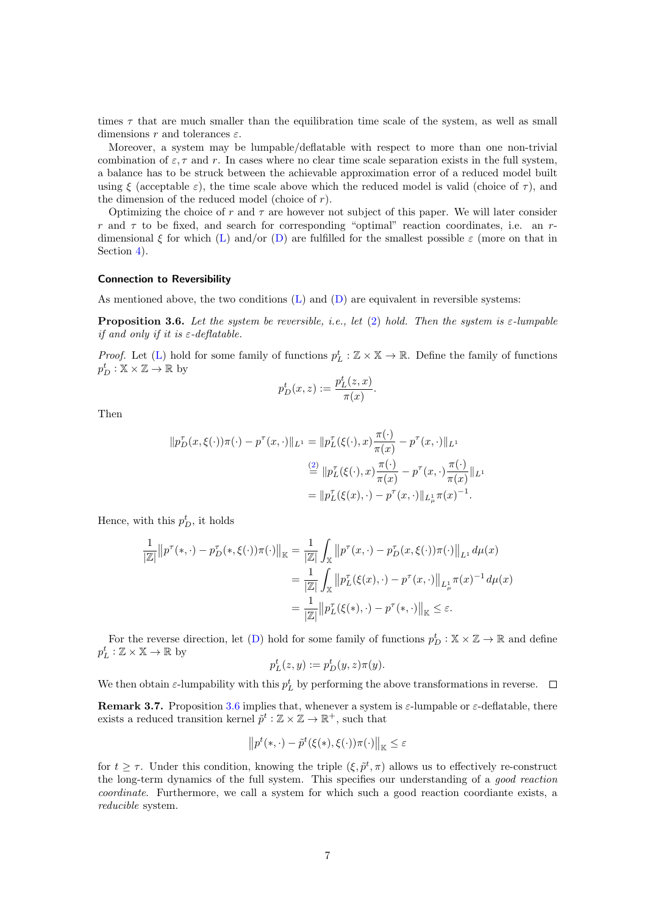times  $\tau$  that are much smaller than the equilibration time scale of the system, as well as small dimensions r and tolerances  $\varepsilon$ .

Moreover, a system may be lumpable/deflatable with respect to more than one non-trivial combination of  $\varepsilon, \tau$  and r. In cases where no clear time scale separation exists in the full system, a balance has to be struck between the achievable approximation error of a reduced model built using  $\xi$  (acceptable  $\varepsilon$ ), the time scale above which the reduced model is valid (choice of  $\tau$ ), and the dimension of the reduced model (choice of r).

Optimizing the choice of r and  $\tau$  are however not subject of this paper. We will later consider r and  $\tau$  to be fixed, and search for corresponding "optimal" reaction coordinates, i.e. an rdimensional  $\xi$  for which [\(L\)](#page-5-0) and/or [\(D\)](#page-5-1) are fulfilled for the smallest possible  $\varepsilon$  (more on that in Section [4\)](#page-12-0).

#### Connection to Reversibility

As mentioned above, the two conditions  $(L)$  and  $(D)$  are equivalent in reversible systems:

<span id="page-6-0"></span>**Proposition 3.6.** Let the system be reversible, i.e., let [\(2\)](#page-3-1) hold. Then the system is  $\varepsilon$ -lumpable if and only if it is  $\varepsilon$ -deflatable.

*Proof.* Let [\(L\)](#page-5-0) hold for some family of functions  $p_L^t : \mathbb{Z} \times \mathbb{X} \to \mathbb{R}$ . Define the family of functions  $p_D^t : \mathbb{X} \times \mathbb{Z} \to \mathbb{R}$  by

$$
p_D^t(x, z) := \frac{p_L^t(z, x)}{\pi(x)}.
$$

Then

$$
||p_D^{\tau}(x,\xi(\cdot))\pi(\cdot) - p^{\tau}(x,\cdot)||_{L^1} = ||p_L^{\tau}(\xi(\cdot),x)\frac{\pi(\cdot)}{\pi(x)} - p^{\tau}(x,\cdot)||_{L^1}
$$
  

$$
\stackrel{(2)}{=} ||p_L^{\tau}(\xi(\cdot),x)\frac{\pi(\cdot)}{\pi(x)} - p^{\tau}(x,\cdot)\frac{\pi(\cdot)}{\pi(x)}||_{L^1}
$$
  

$$
= ||p_L^{\tau}(\xi(x),\cdot) - p^{\tau}(x,\cdot)||_{L^1_{\mu}} \pi(x)^{-1}.
$$

Hence, with this  $p_D^t$ , it holds

$$
\frac{1}{|\mathbb{Z}|} ||p^{\tau}(*,\cdot) - p_D^{\tau}(*,\xi(\cdot))\pi(\cdot)||_{\mathbb{K}} = \frac{1}{|\mathbb{Z}|} \int_{\mathbb{X}} ||p^{\tau}(x,\cdot) - p_D^{\tau}(x,\xi(\cdot))\pi(\cdot)||_{L^1} d\mu(x)
$$
  
\n
$$
= \frac{1}{|\mathbb{Z}|} \int_{\mathbb{X}} ||p_L^{\tau}(\xi(x),\cdot) - p^{\tau}(x,\cdot)||_{L^1_{\mu}} \pi(x)^{-1} d\mu(x)
$$
  
\n
$$
= \frac{1}{|\mathbb{Z}|} ||p_L^{\tau}(\xi(*),\cdot) - p^{\tau}(*,\cdot)||_{\mathbb{K}} \le \varepsilon.
$$

For the reverse direction, let [\(D\)](#page-5-1) hold for some family of functions  $p_D^t : \mathbb{X} \times \mathbb{Z} \to \mathbb{R}$  and define  $p_L^t : \mathbb{Z} \times \mathbb{X} \to \mathbb{R}$  by

$$
p_L^t(z, y) := p_D^t(y, z)\pi(y).
$$

We then obtain  $\varepsilon$ -lumpability with this  $p_L^t$  by performing the above transformations in reverse.  $\Box$ 

**Remark 3.7.** Proposition [3.6](#page-6-0) implies that, whenever a system is  $\varepsilon$ -lumpable or  $\varepsilon$ -deflatable, there exists a reduced transition kernel  $\tilde{p}^t : \mathbb{Z} \times \mathbb{Z} \to \mathbb{R}^+$ , such that

$$
\left\|p^t(*,\cdot)-\tilde{p}^t(\xi(*),\xi(\cdot))\pi(\cdot)\right\|_{\mathbb{K}}\leq\varepsilon
$$

for  $t \geq \tau$ . Under this condition, knowing the triple  $(\xi, \tilde{p}^t, \pi)$  allows us to effectively re-construct the long-term dynamics of the full system. This specifies our understanding of a good reaction coordinate. Furthermore, we call a system for which such a good reaction coordiante exists, a reducible system.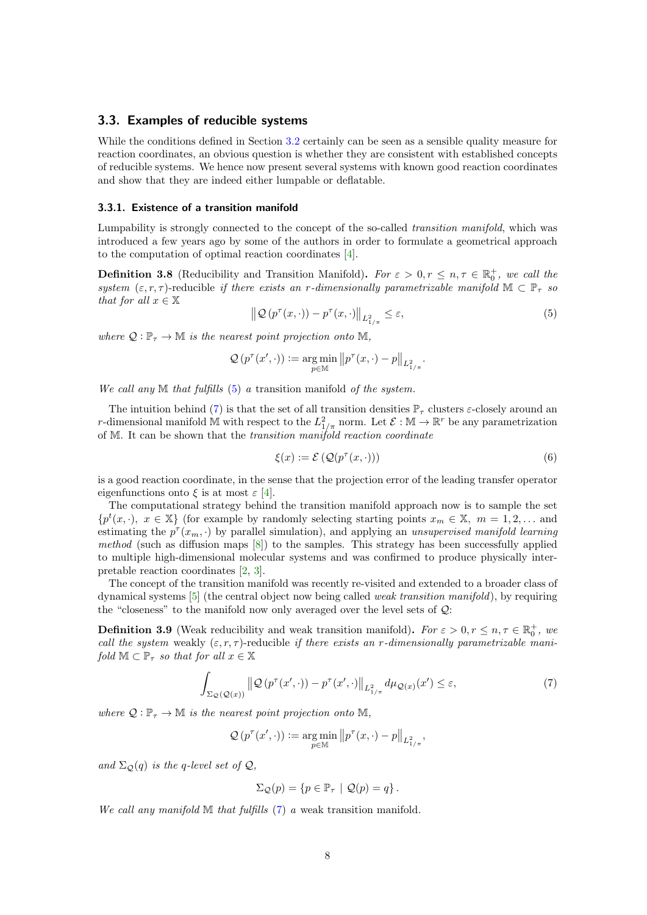#### <span id="page-7-3"></span>3.3. Examples of reducible systems

While the conditions defined in Section [3.2](#page-4-1) certainly can be seen as a sensible quality measure for reaction coordinates, an obvious question is whether they are consistent with established concepts of reducible systems. We hence now present several systems with known good reaction coordinates and show that they are indeed either lumpable or deflatable.

#### 3.3.1. Existence of a transition manifold

Lumpability is strongly connected to the concept of the so-called transition manifold, which was introduced a few years ago by some of the authors in order to formulate a geometrical approach to the computation of optimal reaction coordinates [\[4\]](#page-27-1).

**Definition 3.8** (Reducibility and Transition Manifold). For  $\varepsilon > 0, r \le n, \tau \in \mathbb{R}_0^+$ , we call the system  $(\varepsilon, r, \tau)$ -reducible if there exists an r-dimensionally parametrizable manifold  $\mathbb{M} \subset \mathbb{P}_{\tau}$  so that for all  $x \in \mathbb{X}$ 

<span id="page-7-0"></span>
$$
\left\| \mathcal{Q}\left(p^{\tau}(x, \cdot)\right) - p^{\tau}(x, \cdot)\right\|_{L_{1/\pi}^2} \le \varepsilon,\tag{5}
$$

where  $\mathcal{Q}: \mathbb{P}_{\tau} \to \mathbb{M}$  is the nearest point projection onto M,

$$
\mathcal{Q}\left(p^{\tau}(x',\cdot)\right) := \underset{p\in\mathbb{M}}{\arg\min} \left\|p^{\tau}(x,\cdot)-p\right\|_{L^2_{1/\pi}}.
$$

We call any  $M$  that fulfills [\(5\)](#page-7-0) a transition manifold of the system.

The intuition behind [\(7\)](#page-7-1) is that the set of all transition densities  $\mathbb{P}_{\tau}$  clusters  $\varepsilon$ -closely around an r-dimensional manifold  $\mathbb M$  with respect to the  $L^2_{1/\pi}$  norm. Let  $\mathcal E : \mathbb M \to \mathbb R^r$  be any parametrization of M. It can be shown that the transition manifold reaction coordinate

<span id="page-7-2"></span>
$$
\xi(x) := \mathcal{E}\left(\mathcal{Q}(p^{\tau}(x,\cdot))\right) \tag{6}
$$

is a good reaction coordinate, in the sense that the projection error of the leading transfer operator eigenfunctions onto  $\xi$  is at most  $\varepsilon$  [\[4\]](#page-27-1).

The computational strategy behind the transition manifold approach now is to sample the set  ${p<sup>t</sup>(x, ·), x \in X}$  (for example by randomly selecting starting points  $x_m \in X$ ,  $m = 1, 2, ...$  and estimating the  $p^{\tau}(x_m, \cdot)$  by parallel simulation), and applying an unsupervised manifold learning method (such as diffusion maps  $[8]$ ) to the samples. This strategy has been successfully applied to multiple high-dimensional molecular systems and was confirmed to produce physically interpretable reaction coordinates [\[2,](#page-26-1) [3\]](#page-27-6).

The concept of the transition manifold was recently re-visited and extended to a broader class of dynamical systems [\[5\]](#page-27-3) (the central object now being called weak transition manifold), by requiring the "closeness" to the manifold now only averaged over the level sets of Q:

**Definition 3.9** (Weak reducibility and weak transition manifold). For  $\varepsilon > 0, r \le n, \tau \in \mathbb{R}_0^+$ , we call the system weakly  $(\varepsilon, r, \tau)$ -reducible if there exists an r-dimensionally parametrizable manifold  $\mathbb{M} \subset \mathbb{P}_{\tau}$  so that for all  $x \in \mathbb{X}$ 

<span id="page-7-1"></span>
$$
\int_{\Sigma_{\mathcal{Q}}(\mathcal{Q}(x))} \left\| \mathcal{Q}\left(p^{\tau}(x',\cdot)\right) - p^{\tau}(x',\cdot)\right\|_{L^2_{1/\pi}} d\mu_{\mathcal{Q}(x)}(x') \leq \varepsilon,
$$
\n(7)

where  $\mathcal{Q}: \mathbb{P}_{\tau} \to \mathbb{M}$  is the nearest point projection onto M,

$$
\mathcal{Q}\left(p^{\tau}(x',\cdot)\right):=\mathop{\arg\min}\limits_{p\in\mathbb{M}}\left\|p^{\tau}(x,\cdot)-p\right\|_{L^2_{1/\pi}},
$$

and  $\Sigma_{\mathcal{Q}}(q)$  is the q-level set of  $\mathcal{Q},$ 

$$
\Sigma_{\mathcal{Q}}(p) = \{ p \in \mathbb{P}_{\tau} \mid \mathcal{Q}(p) = q \}.
$$

We call any manifold  $\mathbb M$  that fulfills [\(7\)](#page-7-1) a weak transition manifold.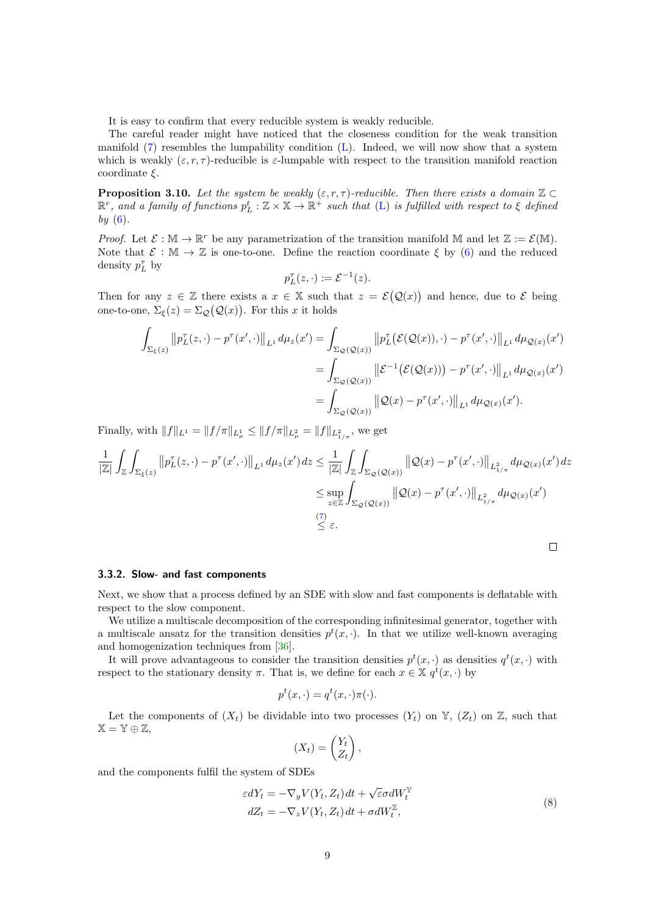It is easy to confirm that every reducible system is weakly reducible.

The careful reader might have noticed that the closeness condition for the weak transition manifold  $(7)$  resembles the lumpability condition  $(L)$ . Indeed, we will now show that a system which is weakly  $(\varepsilon, r, \tau)$ -reducible is  $\varepsilon$ -lumpable with respect to the transition manifold reaction coordinate  $\xi$ .

**Proposition 3.10.** Let the system be weakly  $(\varepsilon, r, \tau)$ -reducible. Then there exists a domain  $\mathbb{Z} \subset$  $\mathbb{R}^r$ , and a family of functions  $p_L^t : \mathbb{Z} \times \mathbb{X} \to \mathbb{R}^+$  such that [\(L\)](#page-5-0) is fulfilled with respect to  $\xi$  defined by  $(6)$ .

*Proof.* Let  $\mathcal{E} : \mathbb{M} \to \mathbb{R}^r$  be any parametrization of the transition manifold  $\mathbb{M}$  and let  $\mathbb{Z} := \mathcal{E}(\mathbb{M})$ . Note that  $\mathcal{E}: \mathbb{M} \to \mathbb{Z}$  is one-to-one. Define the reaction coordinate  $\xi$  by [\(6\)](#page-7-2) and the reduced density  $p_L^{\tau}$  by

$$
p_L^{\tau}(z,\cdot) := \mathcal{E}^{-1}(z).
$$

Then for any  $z \in \mathbb{Z}$  there exists a  $x \in \mathbb{X}$  such that  $z = \mathcal{E}(Q(x))$  and hence, due to  $\mathcal{E}$  being one-to-one,  $\Sigma_{\xi}(z) = \Sigma_{\mathcal{Q}}(\mathcal{Q}(x))$ . For this x it holds

$$
\int_{\Sigma_{\xi}(z)} \left\| p_L^{\tau}(z,\cdot) - p^{\tau}(x',\cdot) \right\|_{L^1} d\mu_z(x') = \int_{\Sigma_{\mathcal{Q}}(\mathcal{Q}(x))} \left\| p_L^{\tau}(\mathcal{E}(\mathcal{Q}(x)),\cdot) - p^{\tau}(x',\cdot) \right\|_{L^1} d\mu_{\mathcal{Q}(x)}(x')
$$
  
\n
$$
= \int_{\Sigma_{\mathcal{Q}}(\mathcal{Q}(x))} \left\| \mathcal{E}^{-1}(\mathcal{E}(\mathcal{Q}(x))) - p^{\tau}(x',\cdot) \right\|_{L^1} d\mu_{\mathcal{Q}(x)}(x')
$$
  
\n
$$
= \int_{\Sigma_{\mathcal{Q}}(\mathcal{Q}(x))} \left\| \mathcal{Q}(x) - p^{\tau}(x',\cdot) \right\|_{L^1} d\mu_{\mathcal{Q}(x)}(x').
$$

Finally, with  $||f||_{L^1} = ||f/\pi||_{L^1_\mu} \le ||f/\pi||_{L^2_\mu} = ||f||_{L^2_{1/\pi}}$ , we get

$$
\frac{1}{|\mathbb{Z}|} \int_{\mathbb{Z}} \int_{\Sigma_{\xi}(z)} \left\| p_{L}^{\tau}(z, \cdot) - p^{\tau}(x', \cdot) \right\|_{L^{1}} d\mu_{z}(x') dz \leq \frac{1}{|\mathbb{Z}|} \int_{\mathbb{Z}} \int_{\Sigma_{\mathcal{Q}}(\mathcal{Q}(x))} \left\| \mathcal{Q}(x) - p^{\tau}(x', \cdot) \right\|_{L^{2}_{1/\pi}} d\mu_{\mathcal{Q}(x)}(x') dz
$$
  
\n
$$
\leq \sup_{z \in \mathbb{Z}} \int_{\Sigma_{\mathcal{Q}}(\mathcal{Q}(x))} \left\| \mathcal{Q}(x) - p^{\tau}(x', \cdot) \right\|_{L^{2}_{1/\pi}} d\mu_{\mathcal{Q}(x)}(x')
$$
  
\n
$$
\leq \varepsilon.
$$

#### <span id="page-8-0"></span>3.3.2. Slow- and fast components

Next, we show that a process defined by an SDE with slow and fast components is deflatable with respect to the slow component.

We utilize a multiscale decomposition of the corresponding infinitesimal generator, together with a multiscale ansatz for the transition densities  $p^t(x, \cdot)$ . In that we utilize well-known averaging and homogenization techniques from [\[36\]](#page-28-6).

It will prove advantageous to consider the transition densities  $p^t(x, \cdot)$  as densities  $q^t(x, \cdot)$  with respect to the stationary density  $\pi$ . That is, we define for each  $x \in \mathbb{X}$   $q^t(x, \cdot)$  by

$$
p^t(x,\cdot) = q^t(x,\cdot)\pi(\cdot).
$$

Let the components of  $(X_t)$  be dividable into two processes  $(Y_t)$  on  $\mathbb{Y}, (Z_t)$  on  $\mathbb{Z}$ , such that  $\mathbb{X} = \mathbb{Y} \oplus \mathbb{Z},$ 

$$
(X_t) = \begin{pmatrix} Y_t \\ Z_t \end{pmatrix},
$$

and the components fulfil the system of SDEs

$$
\varepsilon dY_t = -\nabla_y V(Y_t, Z_t) dt + \sqrt{\varepsilon} \sigma dW_t^{\mathbb{Y}}
$$
  
\n
$$
dZ_t = -\nabla_z V(Y_t, Z_t) dt + \sigma dW_t^{\mathbb{Z}},
$$
\n(8)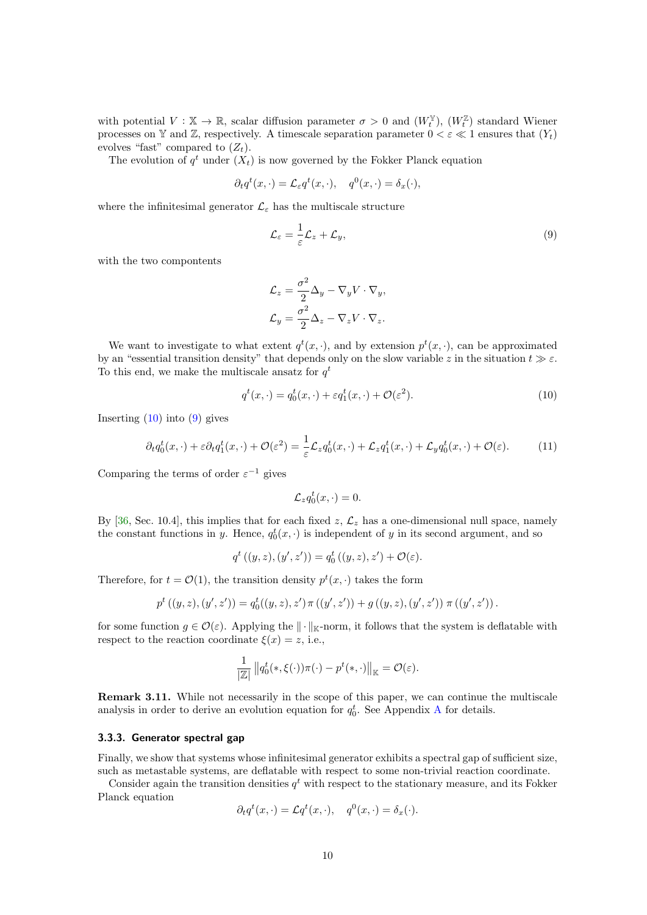with potential  $V : \mathbb{X} \to \mathbb{R}$ , scalar diffusion parameter  $\sigma > 0$  and  $(W_t^{\mathbb{Y}})$ ,  $(W_t^{\mathbb{Z}})$  standard Wiener processes on Y and Z, respectively. A timescale separation parameter  $0 < \varepsilon \ll 1$  ensures that  $(Y_t)$ evolves "fast" compared to  $(Z_t)$ .

The evolution of  $q^t$  under  $(X_t)$  is now governed by the Fokker Planck equation

$$
\partial_t q^t(x,\cdot) = \mathcal{L}_{\varepsilon} q^t(x,\cdot), \quad q^0(x,\cdot) = \delta_x(\cdot),
$$

where the infinitesimal generator  $\mathcal{L}_\varepsilon$  has the multiscale structure

<span id="page-9-1"></span>
$$
\mathcal{L}_{\varepsilon} = \frac{1}{\varepsilon} \mathcal{L}_z + \mathcal{L}_y,\tag{9}
$$

with the two compontents

$$
\mathcal{L}_z = \frac{\sigma^2}{2} \Delta_y - \nabla_y V \cdot \nabla_y,
$$
  

$$
\mathcal{L}_y = \frac{\sigma^2}{2} \Delta_z - \nabla_z V \cdot \nabla_z.
$$

We want to investigate to what extent  $q^t(x, \cdot)$ , and by extension  $p^t(x, \cdot)$ , can be approximated by an "essential transition density" that depends only on the slow variable z in the situation  $t \gg \varepsilon$ . To this end, we make the multiscale ansatz for  $q<sup>t</sup>$ 

<span id="page-9-0"></span>
$$
q^{t}(x,\cdot) = q_{0}^{t}(x,\cdot) + \varepsilon q_{1}^{t}(x,\cdot) + \mathcal{O}(\varepsilon^{2}).
$$
\n(10)

Inserting  $(10)$  into  $(9)$  gives

<span id="page-9-2"></span>
$$
\partial_t q_0^t(x,\cdot) + \varepsilon \partial_t q_1^t(x,\cdot) + \mathcal{O}(\varepsilon^2) = \frac{1}{\varepsilon} \mathcal{L}_z q_0^t(x,\cdot) + \mathcal{L}_z q_1^t(x,\cdot) + \mathcal{L}_y q_0^t(x,\cdot) + \mathcal{O}(\varepsilon). \tag{11}
$$

Comparing the terms of order  $\varepsilon^{-1}$  gives

$$
\mathcal{L}_z q_0^t(x,\cdot) = 0.
$$

By [\[36,](#page-28-6) Sec. 10.4], this implies that for each fixed  $z, \mathcal{L}_z$  has a one-dimensional null space, namely the constant functions in y. Hence,  $q_0^t(x, \cdot)$  is independent of y in its second argument, and so

$$
q^{t} ((y, z), (y', z')) = q_{0}^{t} ((y, z), z') + \mathcal{O}(\varepsilon).
$$

Therefore, for  $t = \mathcal{O}(1)$ , the transition density  $p^t(x, \cdot)$  takes the form

$$
p^{t}((y, z), (y', z')) = q_{0}^{t}((y, z), z') \pi ((y', z')) + g ((y, z), (y', z')) \pi ((y', z')).
$$

for some function  $g \in \mathcal{O}(\varepsilon)$ . Applying the  $\|\cdot\|_{\mathbb{K}}$ -norm, it follows that the system is deflatable with respect to the reaction coordinate  $\xi(x) = z$ , i.e.,

$$
\frac{1}{|\mathbb{Z}|} ||q_0^t(*,\xi(\cdot))\pi(\cdot) - p^t(*,\cdot)||_{\mathbb{K}} = \mathcal{O}(\varepsilon).
$$

Remark 3.11. While not necessarily in the scope of this paper, we can continue the multiscale analysis in order to derive an evolution equation for  $q_0^t$ . See [A](#page-29-7)ppendix A for details.

#### 3.3.3. Generator spectral gap

Finally, we show that systems whose infinitesimal generator exhibits a spectral gap of sufficient size, such as metastable systems, are deflatable with respect to some non-trivial reaction coordinate.

Consider again the transition densities  $q<sup>t</sup>$  with respect to the stationary measure, and its Fokker Planck equation

$$
\partial_t q^t(x,\cdot) = \mathcal{L} q^t(x,\cdot), \quad q^0(x,\cdot) = \delta_x(\cdot).
$$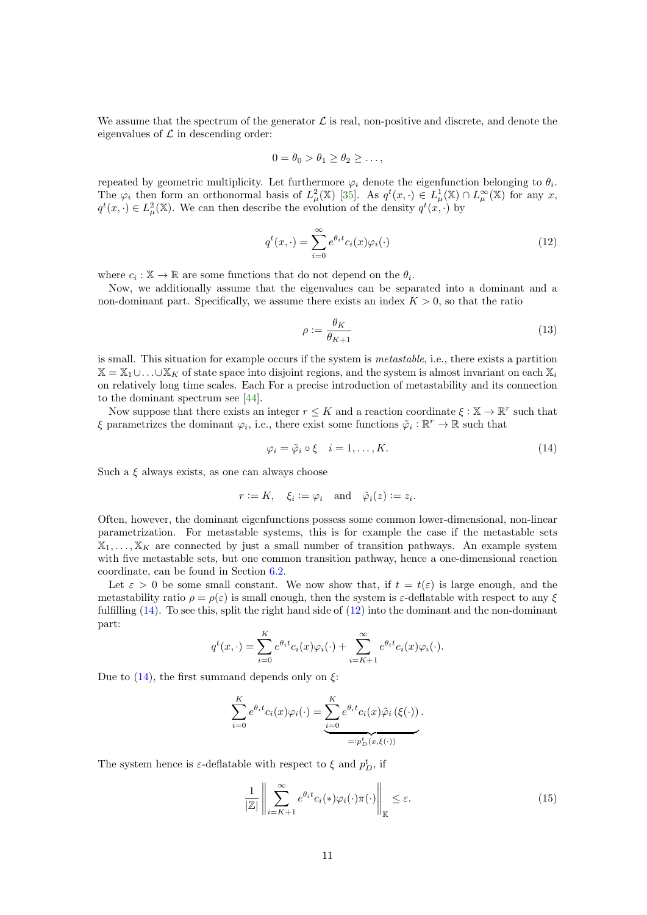We assume that the spectrum of the generator  $\mathcal L$  is real, non-positive and discrete, and denote the eigenvalues of  $\mathcal L$  in descending order:

$$
0=\theta_0>\theta_1\geq \theta_2\geq \ldots,
$$

repeated by geometric multiplicity. Let furthermore  $\varphi_i$  denote the eigenfunction belonging to  $\theta_i$ . The  $\varphi_i$  then form an orthonormal basis of  $L^2_\mu(\mathbb{X})$  [\[35\]](#page-28-14). As  $q^t(x, \cdot) \in L^1_\mu(\mathbb{X}) \cap L^\infty_\mu(\mathbb{X})$  for any x,  $q^t(x, \cdot) \in L^2_{\mu}(\mathbb{X})$ . We can then describe the evolution of the density  $q^t(x, \cdot)$  by

<span id="page-10-1"></span>
$$
q^{t}(x,\cdot) = \sum_{i=0}^{\infty} e^{\theta_{i}t} c_{i}(x)\varphi_{i}(\cdot)
$$
\n(12)

where  $c_i : \mathbb{X} \to \mathbb{R}$  are some functions that do not depend on the  $\theta_i$ .

Now, we additionally assume that the eigenvalues can be separated into a dominant and a non-dominant part. Specifically, we assume there exists an index  $K > 0$ , so that the ratio

$$
\rho := \frac{\theta_K}{\theta_{K+1}}\tag{13}
$$

is small. This situation for example occurs if the system is metastable, i.e., there exists a partition  $\mathbb{X} = \mathbb{X}_1 \cup \ldots \cup \mathbb{X}_K$  of state space into disjoint regions, and the system is almost invariant on each  $\mathbb{X}_i$ on relatively long time scales. Each For a precise introduction of metastability and its connection to the dominant spectrum see [\[44\]](#page-29-1).

Now suppose that there exists an integer  $r \leq K$  and a reaction coordinate  $\xi : \mathbb{X} \to \mathbb{R}^r$  such that  $\xi$  parametrizes the dominant  $\varphi_i$ , i.e., there exist some functions  $\tilde{\varphi}_i : \mathbb{R}^r \to \mathbb{R}$  such that

<span id="page-10-0"></span>
$$
\varphi_i = \tilde{\varphi}_i \circ \xi \quad i = 1, \dots, K. \tag{14}
$$

Such a  $\xi$  always exists, as one can always choose

$$
r := K
$$
,  $\xi_i := \varphi_i$  and  $\tilde{\varphi}_i(z) := z_i$ .

Often, however, the dominant eigenfunctions possess some common lower-dimensional, non-linear parametrization. For metastable systems, this is for example the case if the metastable sets  $\mathbb{X}_1, \ldots, \mathbb{X}_K$  are connected by just a small number of transition pathways. An example system with five metastable sets, but one common transition pathway, hence a one-dimensional reaction coordinate, can be found in Section [6.2.](#page-23-0)

Let  $\varepsilon > 0$  be some small constant. We now show that, if  $t = t(\varepsilon)$  is large enough, and the metastability ratio  $\rho = \rho(\varepsilon)$  is small enough, then the system is  $\varepsilon$ -deflatable with respect to any  $\xi$ fulfilling [\(14\)](#page-10-0). To see this, split the right hand side of [\(12\)](#page-10-1) into the dominant and the non-dominant part:

$$
q^{t}(x,\cdot) = \sum_{i=0}^{K} e^{\theta_{i}t} c_{i}(x)\varphi_{i}(\cdot) + \sum_{i=K+1}^{\infty} e^{\theta_{i}t} c_{i}(x)\varphi_{i}(\cdot).
$$

Due to [\(14\)](#page-10-0), the first summand depends only on  $\xi$ :

$$
\sum_{i=0}^{K} e^{\theta_i t} c_i(x) \varphi_i(\cdot) = \underbrace{\sum_{i=0}^{K} e^{\theta_i t} c_i(x) \tilde{\varphi}_i (\xi(\cdot))}_{=:p_D^t(x, \xi(\cdot))}.
$$

The system hence is  $\varepsilon$ -deflatable with respect to  $\xi$  and  $p_D^t$ , if

<span id="page-10-2"></span>
$$
\frac{1}{|\mathbb{Z}|} \left\| \sum_{i=K+1}^{\infty} e^{\theta_i t} c_i(*) \varphi_i(\cdot) \pi(\cdot) \right\|_{\mathbb{K}} \le \varepsilon.
$$
 (15)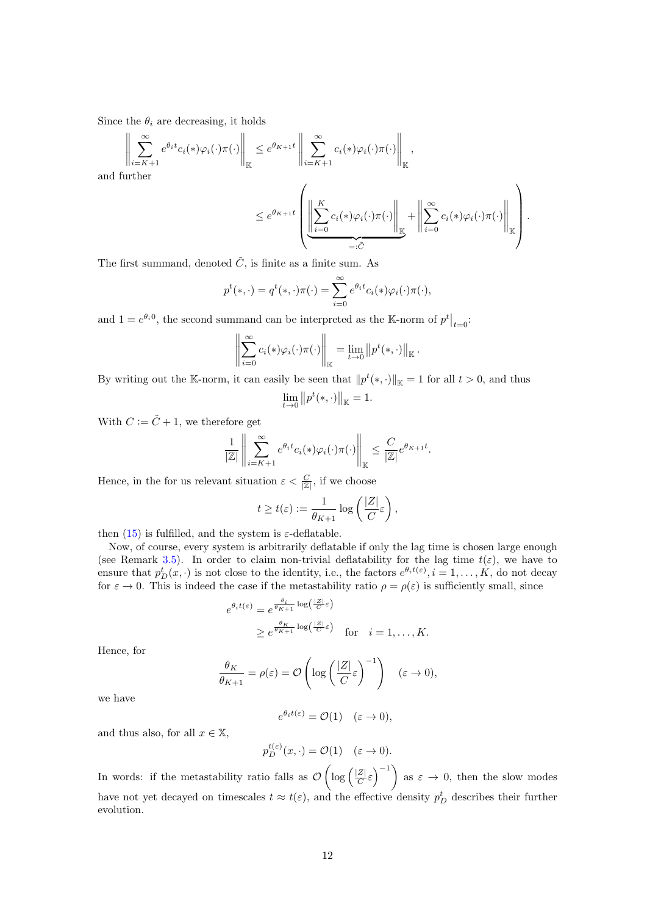Since the  $\theta_i$  are decreasing, it holds

$$
\left\| \sum_{i=K+1}^{\infty} e^{\theta_i t} c_i(*) \varphi_i(\cdot) \pi(\cdot) \right\|_{\mathbb{K}} \leq e^{\theta_{K+1} t} \left\| \sum_{i=K+1}^{\infty} c_i(*) \varphi_i(\cdot) \pi(\cdot) \right\|_{\mathbb{K}},
$$
  
 *in*ther

and fu

$$
\leq e^{\theta_{K+1}t}\left(\left\|\sum_{i=0}^{K}c_{i}(\cdot)\varphi_{i}(\cdot)\pi(\cdot)\right\|_{\mathbb{K}}+\left\|\sum_{i=0}^{\infty}c_{i}(\cdot)\varphi_{i}(\cdot)\pi(\cdot)\right\|_{\mathbb{K}}\right).
$$

The first summand, denoted  $\tilde{C}$ , is finite as a finite sum. As

$$
p^{t}(*, \cdot) = q^{t}(*, \cdot) \pi(\cdot) = \sum_{i=0}^{\infty} e^{\theta_{i}t} c_{i}(*) \varphi_{i}(\cdot) \pi(\cdot),
$$

and  $1 = e^{\theta_i 0}$ , the second summand can be interpreted as the K-norm of  $p^t \big|_{t=0}$ :

$$
\left\|\sum_{i=0}^{\infty}c_i(\ast)\varphi_i(\cdot)\pi(\cdot)\right\|_{\mathbb{K}}=\lim_{t\to 0}\left\|p^t(\ast,\cdot)\right\|_{\mathbb{K}}.
$$

By writing out the K-norm, it can easily be seen that  $||p^t(*, \cdot)||_{\mathbb{K}} = 1$  for all  $t > 0$ , and thus

$$
\lim_{t \to 0} ||p^t(*, \cdot)||_{\mathbb{K}} = 1.
$$

With  $C := \tilde{C} + 1$ , we therefore get

$$
\frac{1}{|\mathbb{Z}|} \left\| \sum_{i=K+1}^{\infty} e^{\theta_i t} c_i(*) \varphi_i(\cdot) \pi(\cdot) \right\|_{\mathbb{K}} \leq \frac{C}{|\mathbb{Z}|} e^{\theta_{K+1} t}.
$$

Hence, in the for us relevant situation  $\varepsilon < \frac{C}{|\mathbb{Z}|}$ , if we choose

$$
t \ge t(\varepsilon) := \frac{1}{\theta_{K+1}} \log \left( \frac{|Z|}{C} \varepsilon \right),\,
$$

then [\(15\)](#page-10-2) is fulfilled, and the system is  $\varepsilon$ -deflatable.

Now, of course, every system is arbitrarily deflatable if only the lag time is chosen large enough (see Remark [3.5\)](#page-5-2). In order to claim non-trivial deflatability for the lag time  $t(\varepsilon)$ , we have to ensure that  $p_D^t(x, \cdot)$  is not close to the identity, i.e., the factors  $e^{\theta_i t(\varepsilon)}, i = 1, \ldots, K$ , do not decay for  $\varepsilon \to 0$ . This is indeed the case if the metastability ratio  $\rho = \rho(\varepsilon)$  is sufficiently small, since

$$
e^{\theta_i t(\varepsilon)} = e^{\frac{\theta_i}{\theta_{K+1}} \log\left(\frac{|\mathcal{Z}|}{C}\varepsilon\right)}
$$
  
 
$$
\geq e^{\frac{\theta_K}{\theta_{K+1}} \log\left(\frac{|\mathcal{Z}|}{C}\varepsilon\right)} \quad \text{for} \quad i = 1, \dots, K.
$$

Hence, for

$$
\frac{\theta_K}{\theta_{K+1}} = \rho(\varepsilon) = \mathcal{O}\left(\log\left(\frac{|Z|}{C}\varepsilon\right)^{-1}\right) \quad (\varepsilon \to 0),
$$

we have

$$
e^{\theta_i t(\varepsilon)} = \mathcal{O}(1) \quad (\varepsilon \to 0),
$$

and thus also, for all  $x \in \mathbb{X}$ ,

$$
p_D^{t(\varepsilon)}(x,\cdot) = \mathcal{O}(1) \quad (\varepsilon \to 0).
$$

In words: if the metastability ratio falls as  $\mathcal{O}\left(\log\left(\frac{|Z|}{C}\varepsilon\right)^{-1}\right)$  as  $\varepsilon \to 0$ , then the slow modes have not yet decayed on timescales  $t \approx t(\varepsilon)$ , and the effective density  $p_D^t$  describes their further evolution.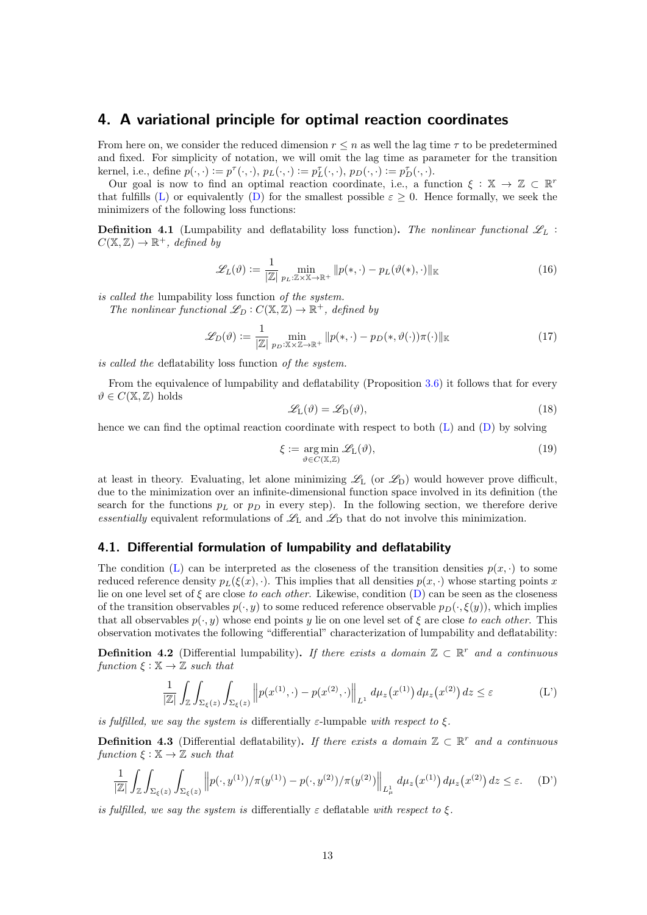## <span id="page-12-0"></span>4. A variational principle for optimal reaction coordinates

From here on, we consider the reduced dimension  $r \leq n$  as well the lag time  $\tau$  to be predetermined and fixed. For simplicity of notation, we will omit the lag time as parameter for the transition kernel, i.e., define  $p(\cdot, \cdot) := p^{\tau}(\cdot, \cdot), p_L(\cdot, \cdot) := p_L^{\tau}(\cdot, \cdot), p_D(\cdot, \cdot) := p_D^{\tau}(\cdot, \cdot)$ .

Our goal is now to find an optimal reaction coordinate, i.e., a function  $\xi : \mathbb{X} \to \mathbb{Z} \subset \mathbb{R}^r$ that fulfills [\(L\)](#page-5-0) or equivalently [\(D\)](#page-5-1) for the smallest possible  $\varepsilon \geq 0$ . Hence formally, we seek the minimizers of the following loss functions:

**Definition 4.1** (Lumpability and deflatability loss function). The nonlinear functional  $\mathscr{L}_L$ :  $C(\mathbb{X}, \mathbb{Z}) \to \mathbb{R}^+$ , defined by

$$
\mathcal{L}_L(\vartheta) := \frac{1}{|\mathbb{Z}|} \min_{p_L : \mathbb{Z} \times \mathbb{X} \to \mathbb{R}^+} ||p(*, \cdot) - p_L(\vartheta(*), \cdot)||_{\mathbb{K}}
$$
(16)

is called the lumpability loss function of the system.

The nonlinear functional  $\mathscr{L}_D : C(\mathbb{X}, \mathbb{Z}) \to \mathbb{R}^+$ , defined by

$$
\mathcal{L}_D(\vartheta) := \frac{1}{|\mathbb{Z}|} \min_{p_D: \mathbb{X} \times \mathbb{Z} \to \mathbb{R}^+} ||p(*, \cdot) - p_D(*, \vartheta(\cdot))\pi(\cdot)||_{\mathbb{K}}
$$
(17)

is called the deflatability loss function of the system.

From the equivalence of lumpability and deflatability (Proposition [3.6\)](#page-6-0) it follows that for every  $\vartheta \in C(\mathbb{X}, \mathbb{Z})$  holds

<span id="page-12-3"></span>
$$
\mathcal{L}_{\mathcal{L}}(\vartheta) = \mathcal{L}_{\mathcal{D}}(\vartheta),\tag{18}
$$

hence we can find the optimal reaction coordinate with respect to both  $(L)$  and  $(D)$  by solving

<span id="page-12-4"></span><span id="page-12-1"></span>
$$
\xi := \underset{\vartheta \in C(\mathbb{X}, \mathbb{Z})}{\arg \min} \mathscr{L}_{\mathcal{L}}(\vartheta),\tag{19}
$$

at least in theory. Evaluating, let alone minimizing  $\mathscr{L}_{L}$  (or  $\mathscr{L}_{D}$ ) would however prove difficult, due to the minimization over an infinite-dimensional function space involved in its definition (the search for the functions  $p<sub>L</sub>$  or  $p<sub>D</sub>$  in every step). In the following section, we therefore derive essentially equivalent reformulations of  $\mathscr{L}_L$  and  $\mathscr{L}_D$  that do not involve this minimization.

## 4.1. Differential formulation of lumpability and deflatability

The condition [\(L\)](#page-5-0) can be interpreted as the closeness of the transition densities  $p(x, \cdot)$  to some reduced reference density  $p_L(\xi(x), \cdot)$ . This implies that all densities  $p(x, \cdot)$  whose starting points x lie on one level set of  $\xi$  are close to each other. Likewise, condition  $(D)$  can be seen as the closeness of the transition observables  $p(\cdot, y)$  to some reduced reference observable  $p_D(\cdot, \xi(y))$ , which implies that all observables  $p(\cdot, y)$  whose end points y lie on one level set of  $\xi$  are close to each other. This observation motivates the following "differential" characterization of lumpability and deflatability:

**Definition 4.2** (Differential lumpability). If there exists a domain  $\mathbb{Z} \subset \mathbb{R}^r$  and a continuous function  $\xi : \mathbb{X} \to \mathbb{Z}$  such that

<span id="page-12-2"></span>
$$
\frac{1}{|\mathbb{Z}|} \int_{\mathbb{Z}} \int_{\Sigma_{\xi}(z)} \int_{\Sigma_{\xi}(z)} \left\| p(x^{(1)}, \cdot) - p(x^{(2)}, \cdot) \right\|_{L^{1}} d\mu_{z}(x^{(1)}) d\mu_{z}(x^{(2)}) dz \leq \varepsilon
$$
 (L')

is fulfilled, we say the system is differentially  $\varepsilon$ -lumpable with respect to  $\xi$ .

**Definition 4.3** (Differential deflatability). If there exists a domain  $\mathbb{Z} \subset \mathbb{R}^r$  and a continuous function  $\xi : \mathbb{X} \to \mathbb{Z}$  such that

$$
\frac{1}{|\mathbb{Z}|} \int_{\mathbb{Z}} \int_{\Sigma_{\xi}(z)} \int_{\Sigma_{\xi}(z)} \left\| p(\cdot, y^{(1)}) / \pi(y^{(1)}) - p(\cdot, y^{(2)}) / \pi(y^{(2)}) \right\|_{L^1_{\mu}} d\mu_z(x^{(1)}) d\mu_z(x^{(2)}) dz \le \varepsilon. \tag{D'}
$$

is fulfilled, we say the system is differentially  $\varepsilon$  deflatable with respect to  $\xi$ .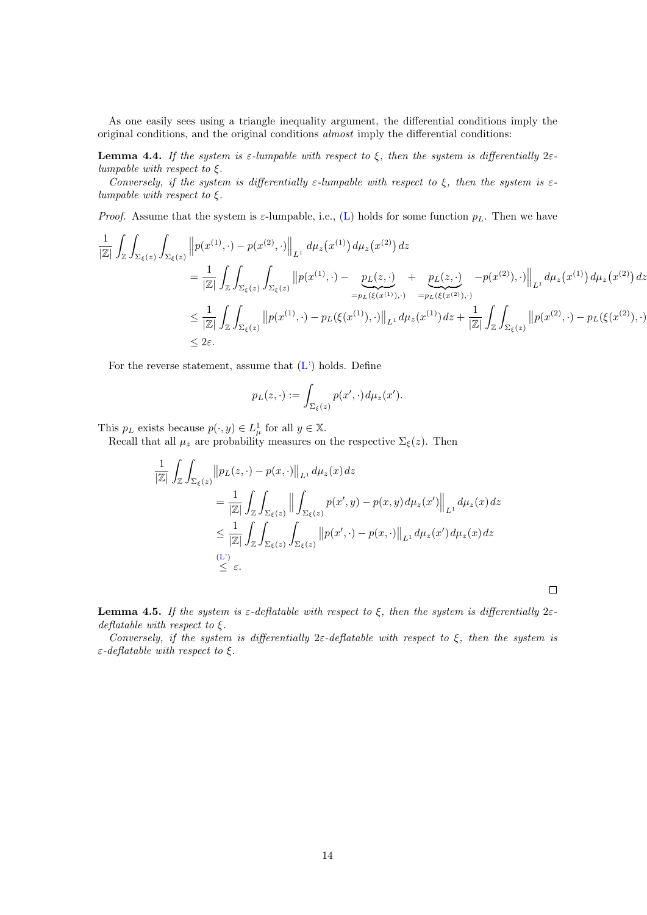As one easily sees using a triangle inequality argument, the differential conditions imply the original conditions, and the original conditions almost imply the differential conditions:

<span id="page-13-0"></span>**Lemma 4.4.** If the system is  $\varepsilon$ -lumpable with respect to  $\xi$ , then the system is differentially  $2\varepsilon$ lumpable with respect to  $\xi$ .

Conversely, if the system is differentially  $\varepsilon$ -lumpable with respect to  $\xi$ , then the system is  $\varepsilon$ lumpable with respect to  $\xi$ .

*Proof.* Assume that the system is  $\varepsilon$ -lumpable, i.e., [\(L\)](#page-5-0) holds for some function  $p<sub>L</sub>$ . Then we have

$$
\frac{1}{|\mathbb{Z}|} \int_{\mathbb{Z}} \int_{\Sigma_{\xi}(z)} \int_{\Sigma_{\xi}(z)} \left\| p(x^{(1)}, \cdot) - p(x^{(2)}, \cdot) \right\|_{L^{1}} d\mu_{z}(x^{(1)}) d\mu_{z}(x^{(2)}) dz \n= \frac{1}{|\mathbb{Z}|} \int_{\mathbb{Z}} \int_{\Sigma_{\xi}(z)} \int_{\Sigma_{\xi}(z)} \left\| p(x^{(1)}, \cdot) - \underbrace{p_{L}(z, \cdot)}_{= p_{L}(\xi(x^{(1)}), \cdot)} + \underbrace{p_{L}(z, \cdot)}_{= p_{L}(\xi(x^{(2)}), \cdot)} - p(x^{(2)}, \cdot) \right\|_{L^{1}} d\mu_{z}(x^{(1)}) d\mu_{z}(x^{(2)}) dz \n= \frac{1}{|\mathbb{Z}|} \int_{\mathbb{Z}} \int_{\Sigma_{\xi}(z)} \left\| p(x^{(1)}, \cdot) - p_{L}(\xi(x^{(1)}), \cdot) \right\|_{L^{1}} d\mu_{z}(x^{(1)}) dz + \frac{1}{|\mathbb{Z}|} \int_{\mathbb{Z}} \int_{\Sigma_{\xi}(z)} \left\| p(x^{(2)}, \cdot) - p_{L}(\xi(x^{(2)}), \cdot) \right\|_{L^{2}} d\mu_{z}(x^{(2)}) d\mu_{z}(x^{(2)}) d\mu_{z}(x^{(2)}) d\mu_{z}(x^{(2)}) d\mu_{z}(x^{(2)}) d\mu_{z}(x^{(2)}) d\mu_{z}(x^{(2)}) d\mu_{z}(x^{(2)}) d\mu_{z}(x^{(2)}) d\mu_{z}(x^{(2)}) d\mu_{z}(x^{(2)}) d\mu_{z}(x^{(2)}) d\mu_{z}(x^{(2)}) d\mu_{z}(x^{(2)}) d\mu_{z}(x^{(2)}) d\mu_{z}(x^{(2)}) d\mu_{z}(x^{(2)}) d\mu_{z}(x^{(2)}) d\mu_{z}(x^{(2)}) d\mu_{z}(x^{(2)}) d\mu_{z}(x^{(2)}) d\mu_{z}(x^{(2)}) d\mu_{z}(x^{(2)}) d\mu_{z}(x^{(2)}) d\mu_{z}(x^{(2)}) d\mu_{z}(x^{(2)}) d\mu_{z}(x^{(2)}) d\mu_{z}(x^{(2)}) d\mu_{z}(x^{(2)}) d\mu_{z}(x^{(2)}) d\mu_{z}(x^{(
$$

For the reverse statement, assume that  $(L')$  holds. Define

$$
p_L(z,\cdot) := \int_{\Sigma_{\xi}(z)} p(x',\cdot) d\mu_z(x').
$$

This  $p_L$  exists because  $p(\cdot, y) \in L^1_\mu$  for all  $y \in \mathbb{X}$ .

Recall that all  $\mu_z$  are probability measures on the respective  $\Sigma_{\xi}(z)$ . Then

$$
\frac{1}{|\mathbb{Z}|} \int_{\mathbb{Z}} \int_{\Sigma_{\xi}(z)} ||p_{L}(z, \cdot) - p(x, \cdot)||_{L^{1}} d\mu_{z}(x) dz
$$
\n
$$
= \frac{1}{|\mathbb{Z}|} \int_{\mathbb{Z}} \int_{\Sigma_{\xi}(z)} || \int_{\Sigma_{\xi}(z)} p(x', y) - p(x, y) d\mu_{z}(x') ||_{L^{1}} d\mu_{z}(x) dz
$$
\n
$$
\leq \frac{1}{|\mathbb{Z}|} \int_{\mathbb{Z}} \int_{\Sigma_{\xi}(z)} \int_{\Sigma_{\xi}(z)} ||p(x', \cdot) - p(x, \cdot)||_{L^{1}} d\mu_{z}(x') d\mu_{z}(x) dz
$$
\n
$$
\stackrel{\text{(L')}}{\leq \varepsilon} \varepsilon.
$$

 $\Box$ 

 $\cdot)$ 

<span id="page-13-1"></span>**Lemma 4.5.** If the system is  $\varepsilon$ -deflatable with respect to  $\xi$ , then the system is differentially  $2\varepsilon$ deflatable with respect to  $\xi$ .

Conversely, if the system is differentially  $2\varepsilon$ -deflatable with respect to  $\xi$ , then the system is  $\varepsilon$ -deflatable with respect to  $\xi$ .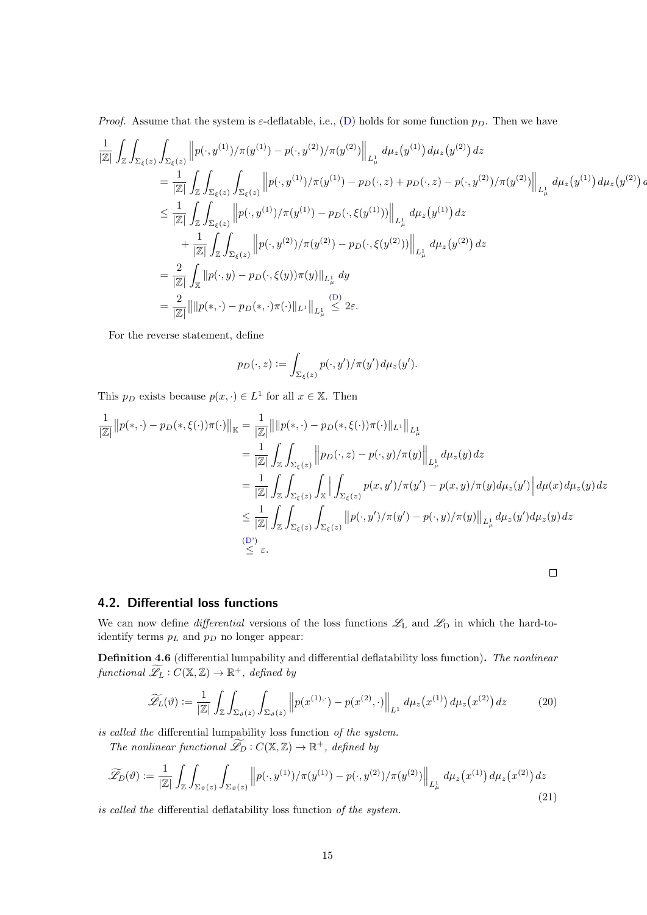*Proof.* Assume that the system is  $\varepsilon$ -deflatable, i.e., [\(D\)](#page-5-1) holds for some function  $p<sub>D</sub>$ . Then we have

$$
\frac{1}{|\mathbb{Z}|} \int_{\mathbb{Z}} \int_{\Sigma_{\xi}(z)} \int_{\Sigma_{\xi}(z)} \left\| p(\cdot, y^{(1)}) / \pi(y^{(1)}) - p(\cdot, y^{(2)}) / \pi(y^{(2)}) \right\|_{L^1_{\mu}} d\mu_z(y^{(1)}) d\mu_z(y^{(2)}) dz \n= \frac{1}{|\mathbb{Z}|} \int_{\mathbb{Z}} \int_{\Sigma_{\xi}(z)} \int_{\Sigma_{\xi}(z)} \left\| p(\cdot, y^{(1)}) / \pi(y^{(1)}) - p_D(\cdot, z) + p_D(\cdot, z) - p(\cdot, y^{(2)}) / \pi(y^{(2)}) \right\|_{L^1_{\mu}} d\mu_z(y^{(1)}) d\mu_z(y^{(2)}) \n\leq \frac{1}{|\mathbb{Z}|} \int_{\mathbb{Z}} \int_{\Sigma_{\xi}(z)} \left\| p(\cdot, y^{(1)}) / \pi(y^{(1)}) - p_D(\cdot, \xi(y^{(1)})) \right\|_{L^1_{\mu}} d\mu_z(y^{(1)}) dz \n+ \frac{1}{|\mathbb{Z}|} \int_{\mathbb{Z}} \int_{\Sigma_{\xi}(z)} \left\| p(\cdot, y^{(2)}) / \pi(y^{(2)}) - p_D(\cdot, \xi(y^{(2)})) \right\|_{L^1_{\mu}} d\mu_z(y^{(2)}) dz \n= \frac{2}{|\mathbb{Z}|} \int_{\mathbb{X}} \left\| p(\cdot, y) - p_D(\cdot, \xi(y)) \pi(y) \right\|_{L^1_{\mu}} dy \n= \frac{2}{|\mathbb{Z}|} \left\| \| p(\cdot, \cdot) - p_D(\cdot, \cdot) \pi(\cdot) \|_{L^1} \right\|_{L^1_{\mu}} \leq 2\varepsilon.
$$

For the reverse statement, define

$$
p_D(\cdot, z) := \int_{\Sigma_{\xi}(z)} p(\cdot, y') / \pi(y') d\mu_z(y').
$$

This  $p_D$  exists because  $p(x, \cdot) \in L^1$  for all  $x \in \mathbb{X}$ . Then

$$
\frac{1}{|\mathbb{Z}|} ||p(*,\cdot)-p_D(*,\xi(\cdot))\pi(\cdot)||_{\mathbb{K}} = \frac{1}{|\mathbb{Z}|} ||||p(*,\cdot)-p_D(*,\xi(\cdot))\pi(\cdot)||_{L^1}||_{L^1_{\mu}}
$$
\n
$$
= \frac{1}{|\mathbb{Z}|} \int_{\mathbb{Z}} \int_{\Sigma_{\xi}(z)} ||p_D(\cdot,z)-p(\cdot,y)/\pi(y)||_{L^1_{\mu}} d\mu_z(y) dz
$$
\n
$$
= \frac{1}{|\mathbb{Z}|} \int_{\mathbb{Z}} \int_{\Sigma_{\xi}(z)} \int_{\mathbb{X}} \left| \int_{\Sigma_{\xi}(z)} p(x,y')/\pi(y') - p(x,y)/\pi(y) d\mu_z(y') \right| d\mu(x) d\mu_z(y) dz
$$
\n
$$
\leq \frac{1}{|\mathbb{Z}|} \int_{\mathbb{Z}} \int_{\Sigma_{\xi}(z)} \int_{\Sigma_{\xi}(z)} ||p(\cdot,y')/\pi(y') - p(\cdot,y)/\pi(y)||_{L^1_{\mu}} d\mu_z(y') d\mu_z(y) dz
$$
\n(D')\n
$$
\leq \varepsilon.
$$

 $\overline{a}$ 

## 4.2. Differential loss functions

We can now define *differential* versions of the loss functions  $\mathscr{L}_L$  and  $\mathscr{L}_D$  in which the hard-toidentify terms  $p_L$  and  $p_D$  no longer appear:

Definition 4.6 (differential lumpability and differential deflatability loss function). The nonlinear functional  $\widetilde{\mathscr{L}}_L : C(\mathbb{X}, \mathbb{Z}) \to \mathbb{R}^+$ , defined by

$$
\widetilde{\mathscr{L}}_L(\vartheta) := \frac{1}{|\mathbb{Z}|} \int_{\mathbb{Z}} \int_{\Sigma_{\vartheta}(z)} \int_{\Sigma_{\vartheta}(z)} \left\| p(x^{(1)}, \cdot) - p(x^{(2)}, \cdot) \right\|_{L^1} d\mu_z(x^{(1)}) d\mu_z(x^{(2)}) dz \tag{20}
$$

is called the differential lumpability loss function of the system.

The nonlinear functional  $\widetilde{\mathscr{L}}_D : C(\mathbb{X}, \mathbb{Z}) \to \mathbb{R}^+$ , defined by

<span id="page-14-0"></span>
$$
\widetilde{\mathcal{L}}_D(\vartheta) := \frac{1}{|\mathbb{Z}|} \int_{\mathbb{Z}} \int_{\Sigma_{\vartheta}(z)} \int_{\Sigma_{\vartheta}(z)} \left\| p(\cdot, y^{(1)}) / \pi(y^{(1)}) - p(\cdot, y^{(2)}) / \pi(y^{(2)}) \right\|_{L^1_{\mu}} d\mu_z(x^{(1)}) d\mu_z(x^{(2)}) dz
$$
\n(21)

is called the differential deflatability loss function of the system.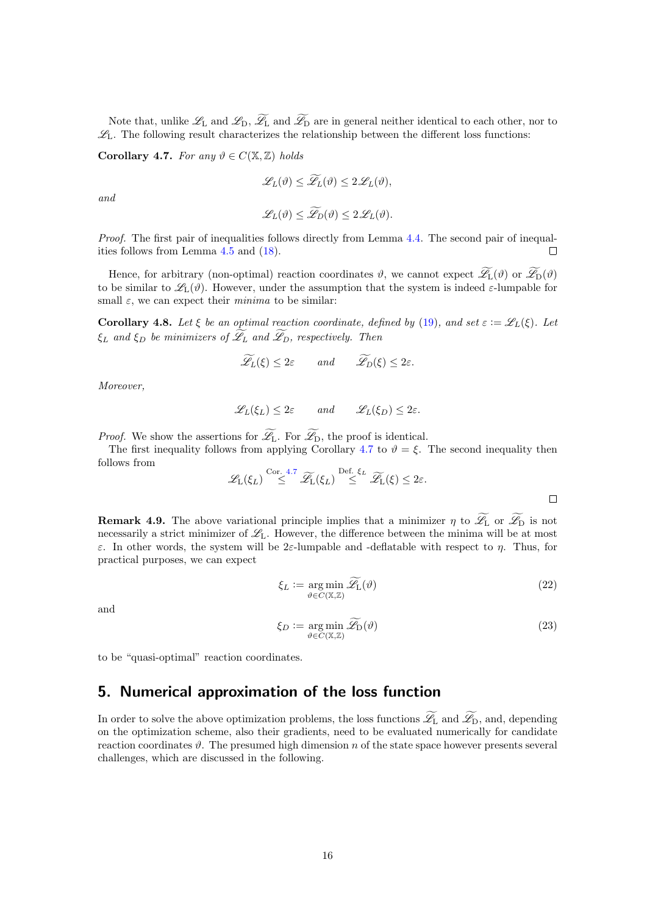Note that, unlike  $\mathscr{L}_{L}$  and  $\widetilde{\mathscr{L}}_{D}$ ,  $\widetilde{\mathscr{L}}_{L}$  and  $\widetilde{\mathscr{L}}_{D}$  are in general neither identical to each other, nor to  $\mathscr{L}_L$ . The following result characterizes the relationship between the different loss functions:

<span id="page-15-1"></span>Corollary 4.7. For any  $\vartheta \in C(\mathbb{X}, \mathbb{Z})$  holds

$$
\mathscr{L}_L(\vartheta) \le \widetilde{\mathscr{L}}_L(\vartheta) \le 2\mathscr{L}_L(\vartheta),
$$

and

$$
\mathscr{L}_L(\vartheta) \leq \mathscr{L}_D(\vartheta) \leq 2\mathscr{L}_L(\vartheta).
$$

Proof. The first pair of inequalities follows directly from Lemma [4.4.](#page-13-0) The second pair of inequalities follows from Lemma [4.5](#page-13-1) and [\(18\)](#page-12-3).  $\Box$ 

Hence, for arbitrary (non-optimal) reaction coordinates  $\vartheta$ , we cannot expect  $\widetilde{\mathscr{L}}_L(\vartheta)$  or  $\widetilde{\mathscr{L}}_D(\vartheta)$ to be similar to  $\mathscr{L}_L(\vartheta)$ . However, under the assumption that the system is indeed  $\varepsilon$ -lumpable for small  $\varepsilon$ , we can expect their *minima* to be similar:

Corollary 4.8. Let  $\xi$  be an optimal reaction coordinate, defined by [\(19\)](#page-12-4), and set  $\varepsilon := \mathscr{L}_L(\xi)$ . Let  $\xi_L$  and  $\xi_D$  be minimizers of  $\mathscr{L}_L$  and  $\mathscr{L}_D$ , respectively. Then

$$
\widetilde{\mathscr{L}}_L(\xi) \leq 2\varepsilon \qquad \text{and} \qquad \widetilde{\mathscr{L}}_D(\xi) \leq 2\varepsilon.
$$

Moreover,

$$
\mathscr{L}_L(\xi_L) \leq 2\varepsilon
$$
 and  $\mathscr{L}_L(\xi_D) \leq 2\varepsilon$ .

*Proof.* We show the assertions for  $\widetilde{\mathscr{L}}_L$ . For  $\widetilde{\mathscr{L}}_D$ , the proof is identical.

The first inequality follows from applying Corollary [4.7](#page-15-1) to  $\vartheta = \xi$ . The second inequality then follows from

$$
\mathscr{L}_{L}(\xi_{L}) \stackrel{\text{Cor. 4.7}}{\leq} \widetilde{\mathscr{L}}_{L}(\xi_{L}) \stackrel{\text{Def. } \xi_{L}}{\leq} \widetilde{\mathscr{L}}_{L}(\xi) \leq 2\varepsilon.
$$

**Remark 4.9.** The above variational principle implies that a minimizer  $\eta$  to  $\widetilde{\mathscr{L}}_L$  or  $\widetilde{\mathscr{L}}_D$  is not necessarily a strict minimizer of  $\mathscr{L}_{L}$ . However, the difference between the minima will be at most ε. In other words, the system will be 2ε-lumpable and -deflatable with respect to η. Thus, for practical purposes, we can expect

<span id="page-15-3"></span><span id="page-15-2"></span>
$$
\xi_L := \underset{\vartheta \in C(\mathbb{X}, \mathbb{Z})}{\arg \min} \widetilde{\mathscr{L}}_L(\vartheta) \tag{22}
$$

and

$$
\xi_D := \underset{\vartheta \in C(\mathbb{X}, \mathbb{Z})}{\arg \min} \widetilde{\mathscr{L}}_D(\vartheta) \tag{23}
$$

to be "quasi-optimal" reaction coordinates.

## <span id="page-15-0"></span>5. Numerical approximation of the loss function

In order to solve the above optimization problems, the loss functions  $\widetilde{\mathscr{L}}_L$  and  $\widetilde{\mathscr{L}}_D$ , and, depending on the optimization scheme, also their gradients, need to be evaluated numerically for candidate reaction coordinates  $\vartheta$ . The presumed high dimension n of the state space however presents several challenges, which are discussed in the following.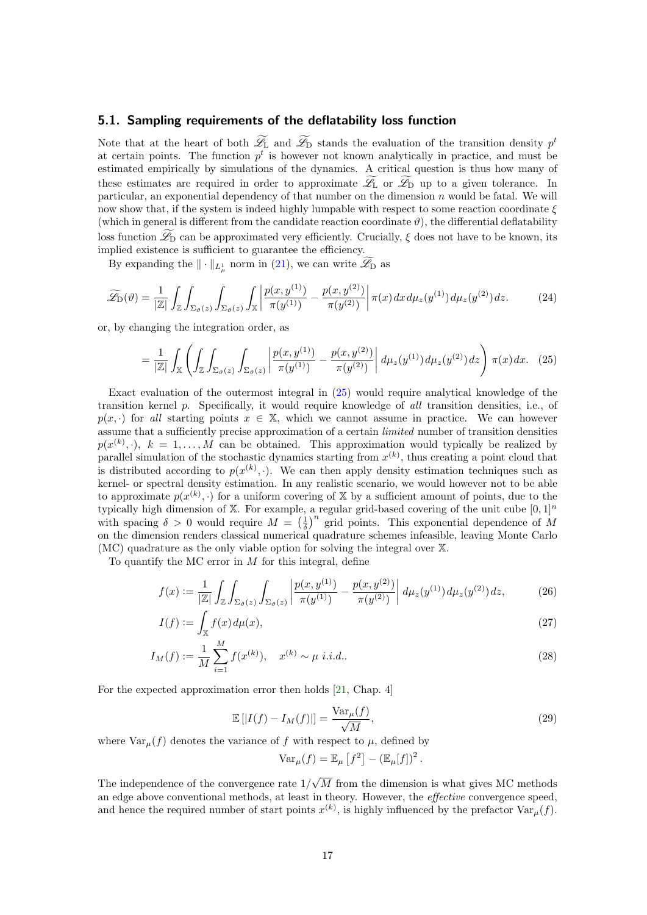#### <span id="page-16-1"></span>5.1. Sampling requirements of the deflatability loss function

Note that at the heart of both  $\mathcal{L}_L$  and  $\mathcal{L}_D$  stands the evaluation of the transition density  $p^t$ at certain points. The function  $p<sup>t</sup>$  is however not known analytically in practice, and must be estimated empirically by simulations of the dynamics. A critical question is thus how many of these estimates are required in order to approximate  $\widetilde{\mathscr{L}}_L$  or  $\widetilde{\mathscr{L}}_D$  up to a given tolerance. In particular, an exponential dependency of that number on the dimension  $n$  would be fatal. We will now show that, if the system is indeed highly lumpable with respect to some reaction coordinate  $\xi$ (which in general is different from the candidate reaction coordinate  $\vartheta$ ), the differential deflatability loss function  $\mathscr{L}_{\mathcal{D}}$  can be approximated very efficiently. Crucially,  $\xi$  does not have to be known, its implied existence is sufficient to guarantee the efficiency.

By expanding the  $\|\cdot\|_{L^1_\mu}$  norm in [\(21\)](#page-14-0), we can write  $\mathscr{L}_{\mathcal{D}}$  as

$$
\widetilde{\mathscr{L}}_{\mathcal{D}}(\vartheta) = \frac{1}{|\mathbb{Z}|} \int_{\mathbb{Z}} \int_{\Sigma_{\vartheta}(z)} \int_{\Sigma_{\vartheta}(z)} \int_{\mathbb{X}} \left| \frac{p(x, y^{(1)})}{\pi(y^{(1)})} - \frac{p(x, y^{(2)})}{\pi(y^{(2)})} \right| \pi(x) dx d\mu_{z}(y^{(1)}) d\mu_{z}(y^{(2)}) dz.
$$
 (24)

or, by changing the integration order, as

<span id="page-16-0"></span>
$$
= \frac{1}{|\mathbb{Z}|} \int_{\mathbb{X}} \left( \int_{\mathbb{Z}} \int_{\Sigma_{\vartheta}(z)} \int_{\Sigma_{\vartheta}(z)} \left| \frac{p(x, y^{(1)})}{\pi(y^{(1)})} - \frac{p(x, y^{(2)})}{\pi(y^{(2)})} \right| d\mu_{z}(y^{(1)}) d\mu_{z}(y^{(2)}) dz \right) \pi(x) dx. \tag{25}
$$

Exact evaluation of the outermost integral in [\(25\)](#page-16-0) would require analytical knowledge of the transition kernel p. Specifically, it would require knowledge of all transition densities, i.e., of  $p(x, \cdot)$  for all starting points  $x \in \mathbb{X}$ , which we cannot assume in practice. We can however assume that a sufficiently precise approximation of a certain limited number of transition densities  $p(x^{(k)},\cdot), k = 1,\ldots,M$  can be obtained. This approximation would typically be realized by parallel simulation of the stochastic dynamics starting from  $x^{(k)}$ , thus creating a point cloud that is distributed according to  $p(x^{(k)}, \cdot)$ . We can then apply density estimation techniques such as kernel- or spectral density estimation. In any realistic scenario, we would however not to be able to approximate  $p(x^{(k)}, \cdot)$  for a uniform covering of X by a sufficient amount of points, due to the typically high dimension of X. For example, a regular grid-based covering of the unit cube  $[0,1]^n$ with spacing  $\delta > 0$  would require  $M = \left(\frac{1}{\delta}\right)^n$  grid points. This exponential dependence of M on the dimension renders classical numerical quadrature schemes infeasible, leaving Monte Carlo (MC) quadrature as the only viable option for solving the integral over X.

To quantify the MC error in  $M$  for this integral, define

$$
f(x) := \frac{1}{|\mathbb{Z}|} \int_{\mathbb{Z}} \int_{\Sigma_{\vartheta}(z)} \int_{\Sigma_{\vartheta}(z)} \left| \frac{p(x, y^{(1)})}{\pi(y^{(1)})} - \frac{p(x, y^{(2)})}{\pi(y^{(2)})} \right| d\mu_{z}(y^{(1)}) d\mu_{z}(y^{(2)}) dz,
$$
 (26)

$$
I(f) := \int_{\mathbb{X}} f(x) d\mu(x),\tag{27}
$$

$$
I_M(f) := \frac{1}{M} \sum_{i=1}^{M} f(x^{(k)}), \quad x^{(k)} \sim \mu \ i.i.d.. \tag{28}
$$

For the expected approximation error then holds [\[21,](#page-28-15) Chap. 4]

$$
\mathbb{E}\left[\left|I(f) - I_M(f)\right|\right] = \frac{\text{Var}_{\mu}(f)}{\sqrt{M}},\tag{29}
$$

where  $\text{Var}_{\mu}(f)$  denotes the variance of f with respect to  $\mu$ , defined by

<span id="page-16-3"></span><span id="page-16-2"></span>
$$
\text{Var}_{\mu}(f) = \mathbb{E}_{\mu}\left[f^2\right] - \left(\mathbb{E}_{\mu}[f]\right)^2.
$$

The independence of the convergence rate  $1/\sqrt{M}$  from the dimension is what gives MC methods an edge above conventional methods, at least in theory. However, the effective convergence speed, and hence the required number of start points  $x^{(k)}$ , is highly influenced by the prefactor  $\text{Var}_{\mu}(f)$ .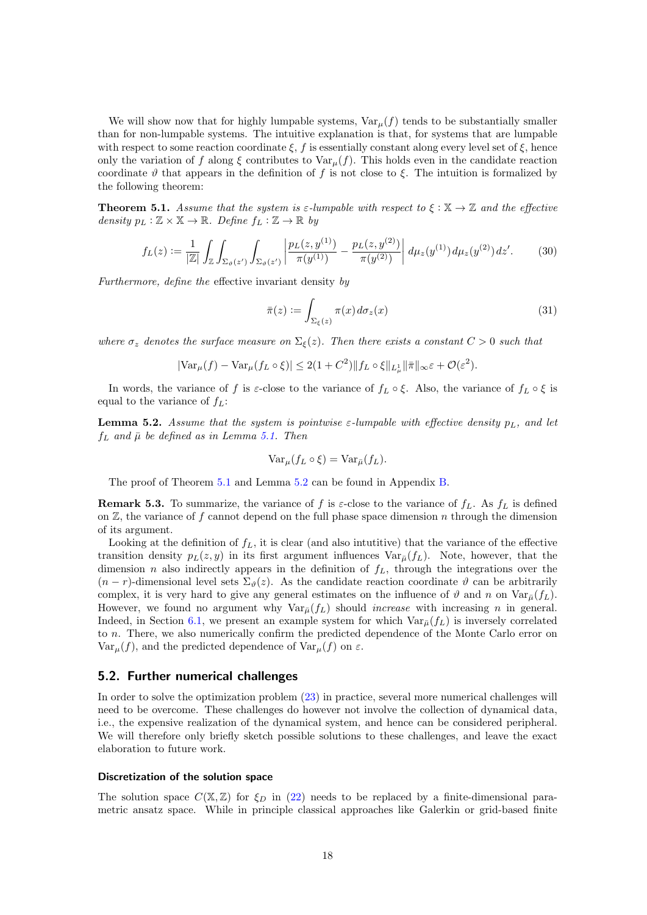We will show now that for highly lumpable systems,  $\text{Var}_{\mu}(f)$  tends to be substantially smaller than for non-lumpable systems. The intuitive explanation is that, for systems that are lumpable with respect to some reaction coordinate  $\xi$ , f is essentially constant along every level set of  $\xi$ , hence only the variation of f along  $\xi$  contributes to  $\text{Var}_{\mu}(f)$ . This holds even in the candidate reaction coordinate  $\vartheta$  that appears in the definition of f is not close to  $\xi$ . The intuition is formalized by the following theorem:

<span id="page-17-0"></span>**Theorem 5.1.** Assume that the system is  $\varepsilon$ -lumpable with respect to  $\xi : \mathbb{X} \to \mathbb{Z}$  and the effective density  $p_L : \mathbb{Z} \times \mathbb{X} \to \mathbb{R}$ . Define  $f_L : \mathbb{Z} \to \mathbb{R}$  by

$$
f_L(z) := \frac{1}{|\mathbb{Z}|} \int_{\mathbb{Z}} \int_{\Sigma_{\vartheta}(z')} \int_{\Sigma_{\vartheta}(z')} \left| \frac{p_L(z, y^{(1)})}{\pi(y^{(1)})} - \frac{p_L(z, y^{(2)})}{\pi(y^{(2)})} \right| d\mu_z(y^{(1)}) d\mu_z(y^{(2)}) dz'. \tag{30}
$$

Furthermore, define the effective invariant density by

$$
\bar{\pi}(z) := \int_{\Sigma_{\xi}(z)} \pi(x) d\sigma_z(x) \tag{31}
$$

where  $\sigma_z$  denotes the surface measure on  $\Sigma_{\xi}(z)$ . Then there exists a constant  $C > 0$  such that

$$
|\text{Var}_{\mu}(f) - \text{Var}_{\mu}(f_L \circ \xi)| \le 2(1+C^2) \|f_L \circ \xi\|_{L^1_{\mu}} \|\overline{\pi}\|_{\infty} \varepsilon + \mathcal{O}(\varepsilon^2).
$$

In words, the variance of f is  $\varepsilon$ -close to the variance of  $f_L \circ \xi$ . Also, the variance of  $f_L \circ \xi$  is equal to the variance of  $f_L$ :

<span id="page-17-1"></span>**Lemma 5.2.** Assume that the system is pointwise  $\varepsilon$ -lumpable with effective density  $p_L$ , and let  $f_L$  and  $\bar{\mu}$  be defined as in Lemma [5.1.](#page-17-0) Then

$$
\text{Var}_{\mu}(f_L \circ \xi) = \text{Var}_{\bar{\mu}}(f_L).
$$

The proof of Theorem [5.1](#page-17-0) and Lemma [5.2](#page-17-1) can be found in Appendix [B.](#page-30-0)

**Remark 5.3.** To summarize, the variance of f is  $\varepsilon$ -close to the variance of  $f<sub>L</sub>$ . As  $f<sub>L</sub>$  is defined on  $\mathbb{Z}$ , the variance of f cannot depend on the full phase space dimension n through the dimension of its argument.

Looking at the definition of  $f_L$ , it is clear (and also intutitive) that the variance of the effective transition density  $p_L(z, y)$  in its first argument influences  $\text{Var}_{\bar{u}}(f_L)$ . Note, however, that the dimension n also indirectly appears in the definition of  $f<sub>L</sub>$ , through the integrations over the  $(n - r)$ -dimensional level sets  $\Sigma_{\theta}(z)$ . As the candidate reaction coordinate  $\theta$  can be arbitrarily complex, it is very hard to give any general estimates on the influence of  $\vartheta$  and n on  $\text{Var}_{\bar{u}}(f_L)$ . However, we found no argument why  $Var_{\bar{\mu}}(f_L)$  should *increase* with increasing n in general. Indeed, in Section [6.1,](#page-18-1) we present an example system for which  $\text{Var}_{\bar{\mu}}(f_L)$  is inversely correlated to n. There, we also numerically confirm the predicted dependence of the Monte Carlo error on Var<sub> $\mu$ </sub> $(f)$ , and the predicted dependence of Var $_{\mu}$  $(f)$  on  $\varepsilon$ .

#### <span id="page-17-2"></span>5.2. Further numerical challenges

In order to solve the optimization problem [\(23\)](#page-15-2) in practice, several more numerical challenges will need to be overcome. These challenges do however not involve the collection of dynamical data, i.e., the expensive realization of the dynamical system, and hence can be considered peripheral. We will therefore only briefly sketch possible solutions to these challenges, and leave the exact elaboration to future work.

#### Discretization of the solution space

The solution space  $C(\mathbb{X}, \mathbb{Z})$  for  $\xi_D$  in [\(22\)](#page-15-3) needs to be replaced by a finite-dimensional parametric ansatz space. While in principle classical approaches like Galerkin or grid-based finite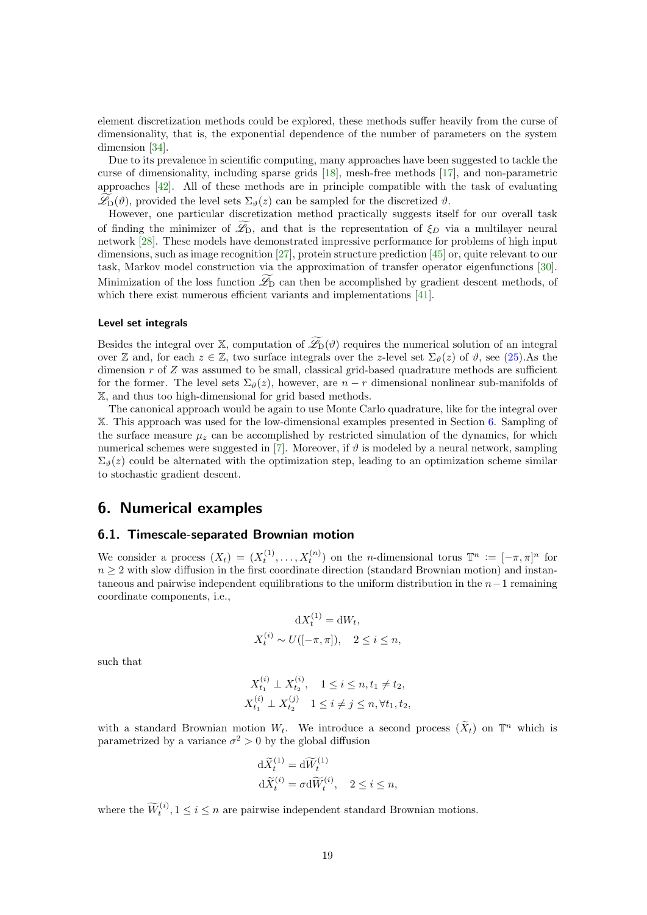element discretization methods could be explored, these methods suffer heavily from the curse of dimensionality, that is, the exponential dependence of the number of parameters on the system dimension [\[34\]](#page-28-16).

Due to its prevalence in scientific computing, many approaches have been suggested to tackle the curse of dimensionality, including sparse grids [\[18\]](#page-27-13), mesh-free methods [\[17\]](#page-27-14), and non-parametric approaches [\[42\]](#page-29-8). All of these methods are in principle compatible with the task of evaluating  $\mathscr{L}_{\mathcal{D}}(\vartheta)$ , provided the level sets  $\Sigma_{\vartheta}(z)$  can be sampled for the discretized  $\vartheta$ .

However, one particular discretization method practically suggests itself for our overall task of finding the minimizer of  $\mathscr{L}_{D}$ , and that is the representation of  $\xi_{D}$  via a multilayer neural network [\[28\]](#page-28-17). These models have demonstrated impressive performance for problems of high input dimensions, such as image recognition [\[27\]](#page-28-18), protein structure prediction [\[45\]](#page-29-9) or, quite relevant to our task, Markov model construction via the approximation of transfer operator eigenfunctions [\[30\]](#page-28-9). Minimization of the loss function  $\widetilde{\mathscr{L}}_D$  can then be accomplished by gradient descent methods, of which there exist numerous efficient variants and implementations [\[41\]](#page-29-10).

#### Level set integrals

Besides the integral over X, computation of  $\widetilde{\mathscr{L}}_D(\vartheta)$  requires the numerical solution of an integral over Z and, for each  $z \in \mathbb{Z}$ , two surface integrals over the z-level set  $\Sigma_{\theta}(z)$  of  $\theta$ , see [\(25\)](#page-16-0). As the dimension  $r$  of  $Z$  was assumed to be small, classical grid-based quadrature methods are sufficient for the former. The level sets  $\Sigma_{\theta}(z)$ , however, are  $n-r$  dimensional nonlinear sub-manifolds of X, and thus too high-dimensional for grid based methods.

The canonical approach would be again to use Monte Carlo quadrature, like for the integral over X. This approach was used for the low-dimensional examples presented in Section [6.](#page-18-0) Sampling of the surface measure  $\mu_z$  can be accomplished by restricted simulation of the dynamics, for which numerical schemes were suggested in [\[7\]](#page-27-15). Moreover, if  $\vartheta$  is modeled by a neural network, sampling  $\Sigma_{\theta}(z)$  could be alternated with the optimization step, leading to an optimization scheme similar to stochastic gradient descent.

## <span id="page-18-0"></span>6. Numerical examples

## <span id="page-18-1"></span>6.1. Timescale-separated Brownian motion

We consider a process  $(X_t) = (X_t^{(1)}, \ldots, X_t^{(n)})$  on the *n*-dimensional torus  $\mathbb{T}^n := [-\pi, \pi]^n$  for  $n \geq 2$  with slow diffusion in the first coordinate direction (standard Brownian motion) and instantaneous and pairwise independent equilibrations to the uniform distribution in the  $n-1$  remaining coordinate components, i.e.,

$$
dX_t^{(1)} = dW_t,
$$
  

$$
X_t^{(i)} \sim U([-\pi,\pi]), \quad 2 \le i \le n,
$$

such that

$$
X_{t_1}^{(i)} \perp X_{t_2}^{(i)}, \quad 1 \le i \le n, t_1 \ne t_2,
$$
  

$$
X_{t_1}^{(i)} \perp X_{t_2}^{(j)} \quad 1 \le i \ne j \le n, \forall t_1, t_2,
$$

with a standard Brownian motion  $W_t$ . We introduce a second process  $(\tilde{X}_t)$  on  $\mathbb{T}^n$  which is parametrized by a variance  $\sigma^2 > 0$  by the global diffusion

$$
\begin{aligned} \mathrm{d}\widetilde{X}_t^{(1)} &= \mathrm{d}\widetilde{W}_t^{(1)} \\ \mathrm{d}\widetilde{X}_t^{(i)} &= \sigma \mathrm{d}\widetilde{W}_t^{(i)}, \quad 2 \le i \le n, \end{aligned}
$$

where the  $\widetilde{W}_t^{(i)}$ ,  $1 \le i \le n$  are pairwise independent standard Brownian motions.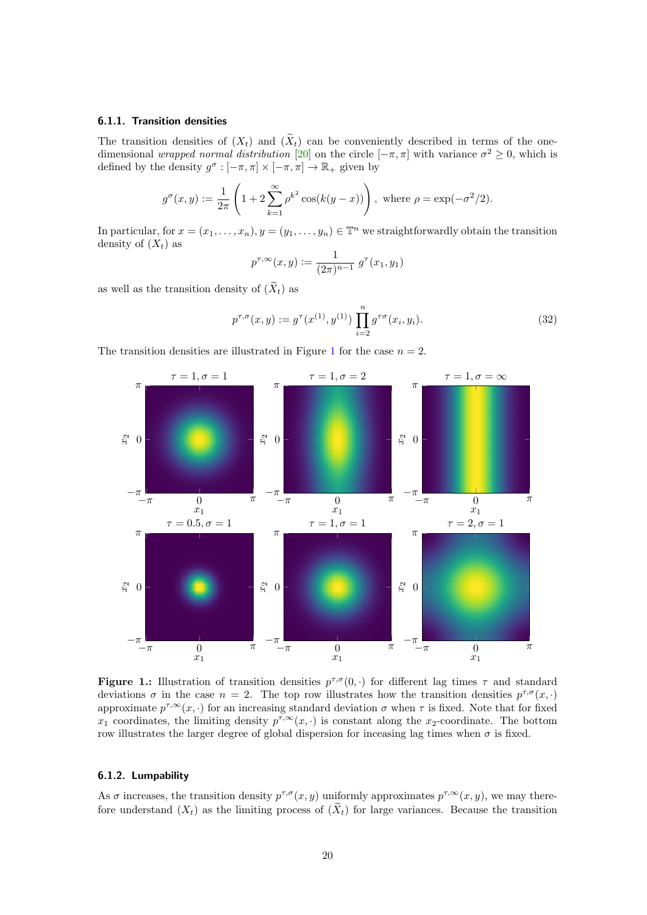## 6.1.1. Transition densities

The transition densities of  $(X_t)$  and  $(\widetilde{X}_t)$  can be conveniently described in terms of the onedimensional *wrapped normal distribution* [\[20\]](#page-27-16) on the circle  $[-\pi, \pi]$  with variance  $\sigma^2 \ge 0$ , which is defined by the density  $g^{\sigma} : [-\pi, \pi] \times [-\pi, \pi] \to \mathbb{R}_+$  given by

$$
g^{\sigma}(x, y) := \frac{1}{2\pi} \left( 1 + 2 \sum_{k=1}^{\infty} \rho^{k^2} \cos(k(y - x)) \right)
$$
, where  $\rho = \exp(-\sigma^2/2)$ .

In particular, for  $x = (x_1, \ldots, x_n), y = (y_1, \ldots, y_n) \in \mathbb{T}^n$  we straightforwardly obtain the transition density of  $(X_t)$  as

$$
p^{\tau,\infty}(x,y) := \frac{1}{(2\pi)^{n-1}} g^{\tau}(x_1,y_1)
$$

as well as the transition density of  $(\widetilde{X}_t)$  as

<span id="page-19-1"></span>
$$
p^{\tau,\sigma}(x,y) := g^{\tau}(x^{(1)}, y^{(1)}) \prod_{i=2}^{n} g^{\tau\sigma}(x_i, y_i).
$$
 (32)

The transition densities are illustrated in Figure [1](#page-19-0) for the case  $n = 2$ .

<span id="page-19-0"></span>

**Figure 1.:** Illustration of transition densities  $p^{\tau,\sigma}(0, \cdot)$  for different lag times  $\tau$  and standard deviations  $\sigma$  in the case  $n = 2$ . The top row illustrates how the transition densities  $p^{\tau,\sigma}(x, \cdot)$ approximate  $p^{\tau,\infty}(x, \cdot)$  for an increasing standard deviation  $\sigma$  when  $\tau$  is fixed. Note that for fixed  $x_1$  coordinates, the limiting density  $p^{\tau,\infty}(x, \cdot)$  is constant along the  $x_2$ -coordinate. The bottom row illustrates the larger degree of global dispersion for inceasing lag times when  $\sigma$  is fixed.

#### <span id="page-19-2"></span>6.1.2. Lumpability

As  $\sigma$  increases, the transition density  $p^{\tau,\sigma}(x, y)$  uniformly approximates  $p^{\tau,\infty}(x, y)$ , we may therefore understand  $(X_t)$  as the limiting process of  $(\widetilde{X}_t)$  for large variances. Because the transition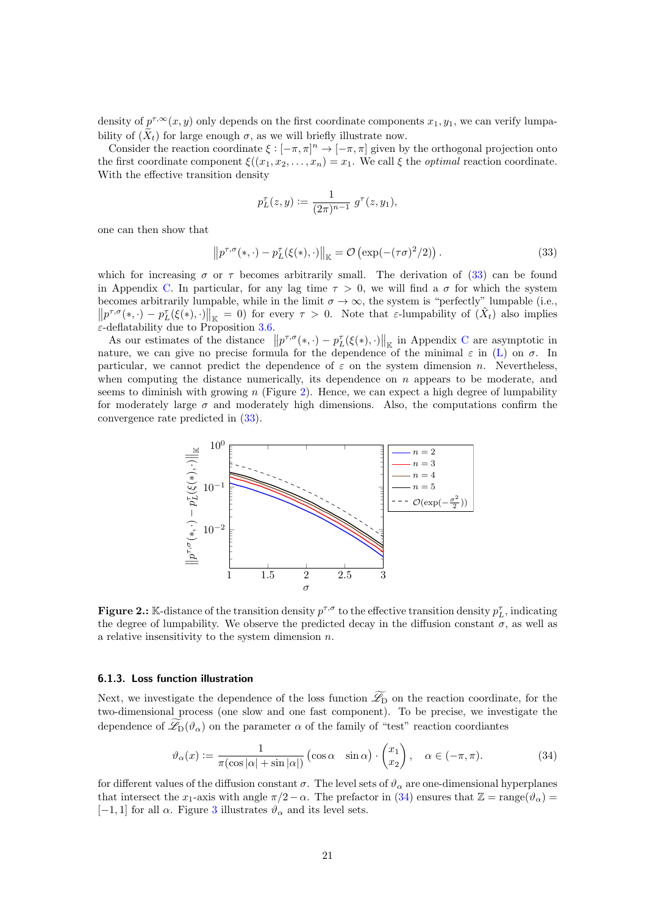density of  $p^{\tau,\infty}(x, y)$  only depends on the first coordinate components  $x_1, y_1$ , we can verify lumpability of  $(X_t)$  for large enough  $\sigma$ , as we will briefly illustrate now.

Consider the reaction coordinate  $\xi : [-\pi, \pi]^n \to [-\pi, \pi]$  given by the orthogonal projection onto the first coordinate component  $\xi((x_1, x_2, \ldots, x_n) = x_1$ . We call  $\xi$  the *optimal* reaction coordinate. With the effective transition density

$$
p_L^{\tau}(z, y) := \frac{1}{(2\pi)^{n-1}} g^{\tau}(z, y_1),
$$

one can then show that

<span id="page-20-0"></span>
$$
\left\|p^{\tau,\sigma}(\ast,\cdot)-p_L^{\tau}(\xi(\ast),\cdot)\right\|_{\mathbb{K}}=\mathcal{O}\left(\exp(-(\tau\sigma)^2/2)\right). \tag{33}
$$

which for increasing  $\sigma$  or  $\tau$  becomes arbitrarily small. The derivation of [\(33\)](#page-20-0) can be found in Appendix [C.](#page-32-0) In particular, for any lag time  $\tau > 0$ , we will find a  $\sigma$  for which the system becomes arbitrarily lumpable, while in the limit  $\sigma \to \infty$ , the system is "perfectly" lumpable (i.e.,  $\left\|p^{\tau,\sigma}(*, \cdot)-p_L^{\tau}(\xi(*), \cdot)\right\|_{\mathbb{K}}=0$  for every  $\tau>0$ . Note that  $\varepsilon$ -lumpability of  $(\tilde{X}_t)$  also implies  $||p''(*, \cdot) - p_L(\zeta(*), \cdot)||_K = 0$  for example to Proposition [3.6.](#page-6-0)

As our estimates of the distance  $||p^{\tau,\sigma}(*, \cdot) - p_L^{\tau}(\xi(*), \cdot)||_{\mathbb{K}}$  in Appendix [C](#page-32-0) are asymptotic in nature, we can give no precise formula for the dependence of the minimal  $\varepsilon$  in [\(L\)](#page-5-0) on  $\sigma$ . In particular, we cannot predict the dependence of  $\varepsilon$  on the system dimension n. Nevertheless, when computing the distance numerically, its dependence on  $n$  appears to be moderate, and seems to diminish with growing  $n$  (Figure [2\)](#page-20-1). Hence, we can expect a high degree of lumpability for moderately large  $\sigma$  and moderately high dimensions. Also, the computations confirm the convergence rate predicted in [\(33\)](#page-20-0).

<span id="page-20-1"></span>

**Figure 2.:** K-distance of the transition density  $p^{\tau,\sigma}$  to the effective transition density  $p_L^{\tau}$ , indicating the degree of lumpability. We observe the predicted decay in the diffusion constant  $\sigma$ , as well as a relative insensitivity to the system dimension  $n$ .

#### 6.1.3. Loss function illustration

Next, we investigate the dependence of the loss function  $\widetilde{\mathscr{L}}_D$  on the reaction coordinate, for the two-dimensional process (one slow and one fast component). To be precise, we investigate the dependence of  $\mathscr{L}_{D}(\vartheta_{\alpha})$  on the parameter  $\alpha$  of the family of "test" reaction coordiantes

<span id="page-20-2"></span>
$$
\vartheta_{\alpha}(x) := \frac{1}{\pi(\cos|\alpha| + \sin|\alpha|)} (\cos \alpha \quad \sin \alpha) \cdot \begin{pmatrix} x_1 \\ x_2 \end{pmatrix}, \quad \alpha \in (-\pi, \pi). \tag{34}
$$

for different values of the diffusion constant  $\sigma$ . The level sets of  $\vartheta_{\alpha}$  are one-dimensional hyperplanes that intersect the x<sub>1</sub>-axis with angle  $\pi/2-\alpha$ . The prefactor in [\(34\)](#page-20-2) ensures that  $\mathbb{Z} = \text{range}(\vartheta_{\alpha}) =$ [−1, 1] for all  $\alpha$ . Figure [3](#page-21-0) illustrates  $\vartheta_{\alpha}$  and its level sets.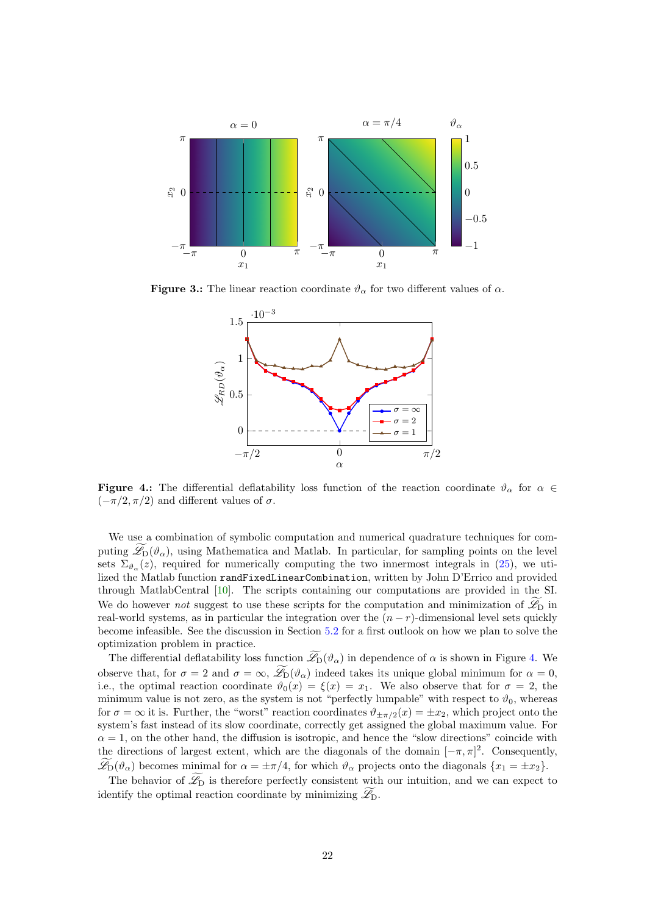<span id="page-21-0"></span>

<span id="page-21-1"></span>**Figure 3.:** The linear reaction coordinate  $\vartheta_{\alpha}$  for two different values of  $\alpha$ .



**Figure 4.:** The differential deflatability loss function of the reaction coordinate  $\vartheta_{\alpha}$  for  $\alpha \in$  $(-\pi/2, \pi/2)$  and different values of  $\sigma$ .

We use a combination of symbolic computation and numerical quadrature techniques for computing  $\mathscr{L}_{D}(\vartheta_{\alpha})$ , using Mathematica and Matlab. In particular, for sampling points on the level sets  $\Sigma_{\vartheta_{\alpha}}(z)$ , required for numerically computing the two innermost integrals in [\(25\)](#page-16-0), we utilized the Matlab function randFixedLinearCombination, written by John D'Errico and provided through MatlabCentral [\[10\]](#page-27-17). The scripts containing our computations are provided in the SI. We do however not suggest to use these scripts for the computation and minimization of  $\mathscr{L}_{\mathcal{D}}$  in real-world systems, as in particular the integration over the  $(n - r)$ -dimensional level sets quickly become infeasible. See the discussion in Section [5.2](#page-17-2) for a first outlook on how we plan to solve the optimization problem in practice.

The differential deflatability loss function  $\mathcal{L}_D(\vartheta_\alpha)$  in dependence of  $\alpha$  is shown in Figure [4.](#page-21-1) We observe that, for  $\sigma = 2$  and  $\sigma = \infty$ ,  $\widetilde{\mathscr{L}}_{\mathcal{D}}(\vartheta_{\alpha})$  indeed takes its unique global minimum for  $\alpha = 0$ . i.e., the optimal reaction coordinate  $\vartheta_0(x) = \xi(x) = x_1$ . We also observe that for  $\sigma = 2$ , the minimum value is not zero, as the system is not "perfectly lumpable" with respect to  $\vartheta_0$ , whereas for  $\sigma = \infty$  it is. Further, the "worst" reaction coordinates  $\vartheta_{\pm \pi/2}(x) = \pm x_2$ , which project onto the system's fast instead of its slow coordinate, correctly get assigned the global maximum value. For  $\alpha = 1$ , on the other hand, the diffusion is isotropic, and hence the "slow directions" coincide with the directions of largest extent, which are the diagonals of the domain  $[-\pi, \pi]^2$ . Consequently,  $\mathscr{L}_{D}(\vartheta_{\alpha})$  becomes minimal for  $\alpha = \pm \pi/4$ , for which  $\vartheta_{\alpha}$  projects onto the diagonals  $\{x_1 = \pm x_2\}$ .

The behavior of  $\mathscr{L}_{D}$  is therefore perfectly consistent with our intuition, and we can expect to identify the optimal reaction coordinate by minimizing  $\mathscr{L}_{D}$ .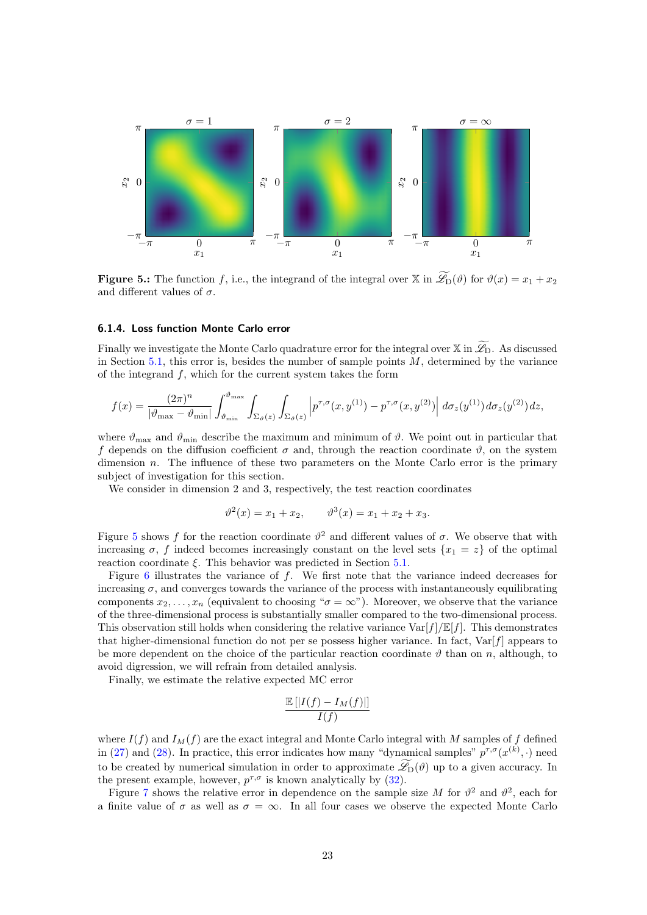<span id="page-22-0"></span>

**Figure 5.:** The function f, i.e., the integrand of the integral over  $\mathbb{X}$  in  $\widetilde{\mathscr{L}}_D(\vartheta)$  for  $\vartheta(x) = x_1 + x_2$ and different values of  $\sigma$ .

#### 6.1.4. Loss function Monte Carlo error

Finally we investigate the Monte Carlo quadrature error for the integral over  $\mathbb{X}$  in  $\widetilde{\mathscr{L}}_D$ . As discussed in Section [5.1,](#page-16-1) this error is, besides the number of sample points  $M$ , determined by the variance of the integrand  $f$ , which for the current system takes the form

$$
f(x) = \frac{(2\pi)^n}{|\vartheta_{\max} - \vartheta_{\min}|} \int_{\vartheta_{\min}}^{\vartheta_{\max}} \int_{\Sigma_{\vartheta}(z)} \int_{\Sigma_{\vartheta}(z)} \left| p^{\tau,\sigma}(x, y^{(1)}) - p^{\tau,\sigma}(x, y^{(2)}) \right| d\sigma_z(y^{(1)}) d\sigma_z(y^{(2)}) dz,
$$

where  $\vartheta_{\text{max}}$  and  $\vartheta_{\text{min}}$  describe the maximum and minimum of  $\vartheta$ . We point out in particular that f depends on the diffusion coefficient  $\sigma$  and, through the reaction coordinate  $\vartheta$ , on the system dimension *n*. The influence of these two parameters on the Monte Carlo error is the primary subject of investigation for this section.

We consider in dimension 2 and 3, respectively, the test reaction coordinates

$$
\vartheta^2(x) = x_1 + x_2, \qquad \vartheta^3(x) = x_1 + x_2 + x_3.
$$

Figure [5](#page-22-0) shows f for the reaction coordinate  $\vartheta^2$  and different values of  $\sigma$ . We observe that with increasing  $\sigma$ , f indeed becomes increasingly constant on the level sets  $\{x_1 = z\}$  of the optimal reaction coordinate  $\xi$ . This behavior was predicted in Section [5.1.](#page-16-1)

Figure [6](#page-23-1) illustrates the variance of f. We first note that the variance indeed decreases for increasing  $\sigma$ , and converges towards the variance of the process with instantaneously equilibrating components  $x_2, \ldots, x_n$  (equivalent to choosing " $\sigma = \infty$ "). Moreover, we observe that the variance of the three-dimensional process is substantially smaller compared to the two-dimensional process. This observation still holds when considering the relative variance  $\text{Var}[f]/\mathbb{E}[f]$ . This demonstrates that higher-dimensional function do not per se possess higher variance. In fact,  $\text{Var}[f]$  appears to be more dependent on the choice of the particular reaction coordinate  $\vartheta$  than on n, although, to avoid digression, we will refrain from detailed analysis.

Finally, we estimate the relative expected MC error

$$
\frac{\mathbb{E}\left[\left|I(f) - I_M(f)\right|\right]}{I(f)}
$$

where  $I(f)$  and  $I_M(f)$  are the exact integral and Monte Carlo integral with M samples of f defined in [\(27\)](#page-16-2) and [\(28\)](#page-16-3). In practice, this error indicates how many "dynamical samples"  $p^{\tau,\sigma}(x^{(k)},\cdot)$  need to be created by numerical simulation in order to approximate  $\widetilde{\mathscr{L}}_D(\vartheta)$  up to a given accuracy. In the present example, however,  $p^{\tau,\sigma}$  is known analytically by [\(32\)](#page-19-1).

Figure [7](#page-23-2) shows the relative error in dependence on the sample size M for  $\vartheta^2$  and  $\vartheta^2$ , each for a finite value of  $\sigma$  as well as  $\sigma = \infty$ . In all four cases we observe the expected Monte Carlo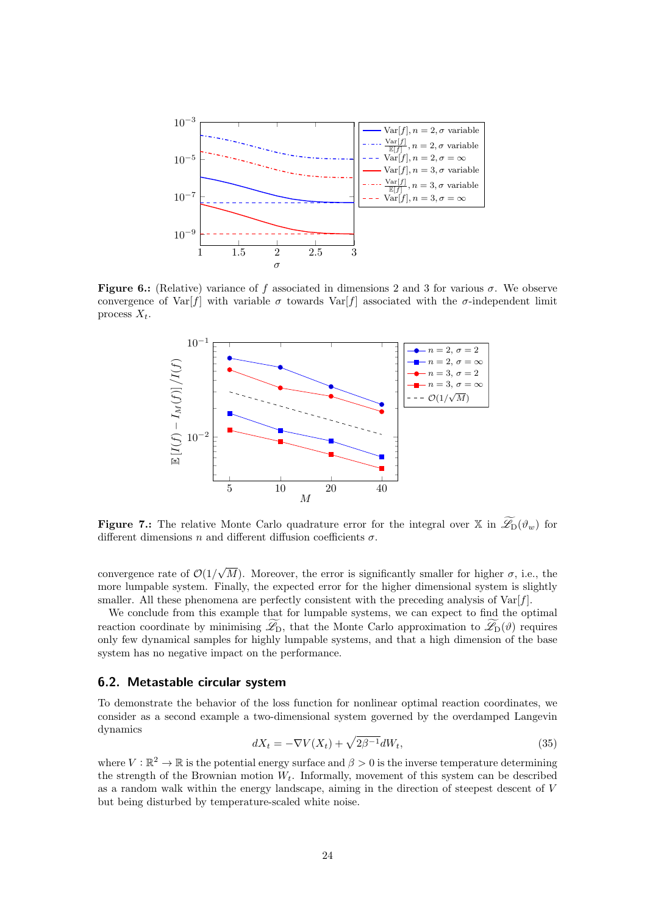<span id="page-23-1"></span>

<span id="page-23-2"></span>Figure 6.: (Relative) variance of f associated in dimensions 2 and 3 for various  $\sigma$ . We observe convergence of Var[f] with variable  $\sigma$  towards Var[f] associated with the  $\sigma$ -independent limit process  $X_t$ .



**Figure 7.:** The relative Monte Carlo quadrature error for the integral over  $\mathbb{X}$  in  $\widetilde{\mathscr{L}}_D(\vartheta_w)$  for different dimensions n and different diffusion coefficients  $\sigma$ .

convergence rate of  $\mathcal{O}(1/\sqrt{M})$ . Moreover, the error is significantly smaller for higher  $\sigma$ , i.e., the more lumpable system. Finally, the expected error for the higher dimensional system is slightly smaller. All these phenomena are perfectly consistent with the preceding analysis of  $\text{Var}[f]$ .

We conclude from this example that for lumpable systems, we can expect to find the optimal reaction coordinate by minimising  $\widetilde{\mathscr{L}}_D$ , that the Monte Carlo approximation to  $\widetilde{\mathscr{L}}_D(\vartheta)$  requires only few dynamical samples for highly lumpable systems, and that a high dimension of the base system has no negative impact on the performance.

## <span id="page-23-0"></span>6.2. Metastable circular system

To demonstrate the behavior of the loss function for nonlinear optimal reaction coordinates, we consider as a second example a two-dimensional system governed by the overdamped Langevin dynamics

$$
dX_t = -\nabla V(X_t) + \sqrt{2\beta^{-1}}dW_t,
$$
\n(35)

where  $V : \mathbb{R}^2 \to \mathbb{R}$  is the potential energy surface and  $\beta > 0$  is the inverse temperature determining the strength of the Brownian motion  $W_t$ . Informally, movement of this system can be described as a random walk within the energy landscape, aiming in the direction of steepest descent of V but being disturbed by temperature-scaled white noise.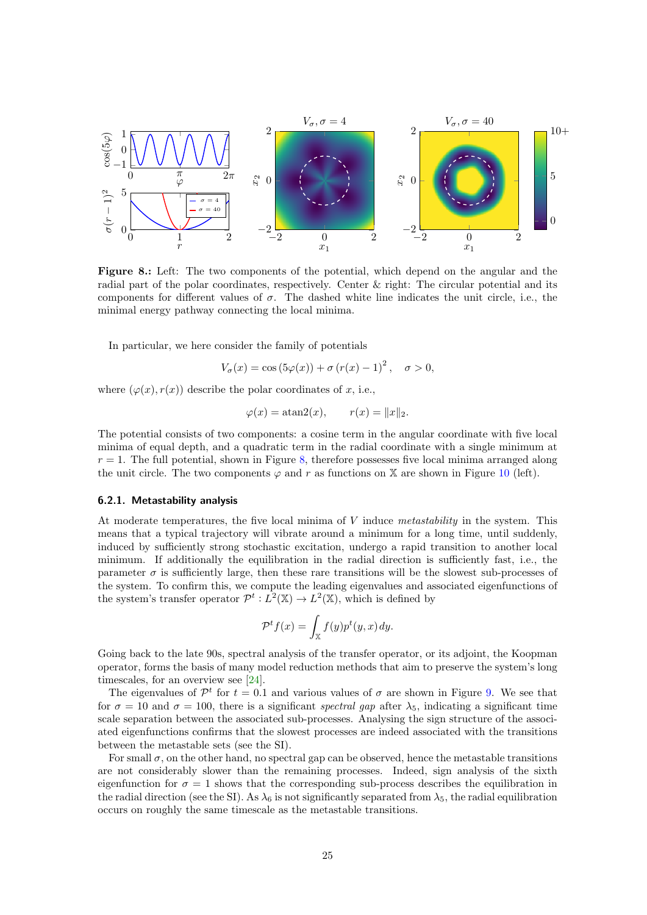<span id="page-24-0"></span>

Figure 8.: Left: The two components of the potential, which depend on the angular and the radial part of the polar coordinates, respectively. Center & right: The circular potential and its components for different values of  $\sigma$ . The dashed white line indicates the unit circle, i.e., the minimal energy pathway connecting the local minima.

In particular, we here consider the family of potentials

$$
V_{\sigma}(x) = \cos(5\varphi(x)) + \sigma (r(x) - 1)^{2}, \quad \sigma > 0,
$$

where  $(\varphi(x), r(x))$  describe the polar coordinates of x, i.e.,

$$
\varphi(x) = \operatorname{atan2}(x), \qquad r(x) = \|x\|_2.
$$

The potential consists of two components: a cosine term in the angular coordinate with five local minima of equal depth, and a quadratic term in the radial coordinate with a single minimum at  $r = 1$ . The full potential, shown in Figure [8,](#page-24-0) therefore possesses five local minima arranged along the unit circle. The two components  $\varphi$  and r as functions on X are shown in Figure [10](#page-26-2) (left).

#### 6.2.1. Metastability analysis

At moderate temperatures, the five local minima of V induce metastability in the system. This means that a typical trajectory will vibrate around a minimum for a long time, until suddenly, induced by sufficiently strong stochastic excitation, undergo a rapid transition to another local minimum. If additionally the equilibration in the radial direction is sufficiently fast, i.e., the parameter  $\sigma$  is sufficiently large, then these rare transitions will be the slowest sub-processes of the system. To confirm this, we compute the leading eigenvalues and associated eigenfunctions of the system's transfer operator  $\mathcal{P}^t : L^2(\mathbb{X}) \to L^2(\mathbb{X})$ , which is defined by

$$
\mathcal{P}^t f(x) = \int_{\mathbb{X}} f(y) p^t(y, x) \, dy.
$$

Going back to the late 90s, spectral analysis of the transfer operator, or its adjoint, the Koopman operator, forms the basis of many model reduction methods that aim to preserve the system's long timescales, for an overview see [\[24\]](#page-28-7).

The eigenvalues of  $\mathcal{P}^t$  for  $t = 0.1$  and various values of  $\sigma$  are shown in Figure [9.](#page-25-1) We see that for  $\sigma = 10$  and  $\sigma = 100$ , there is a significant spectral gap after  $\lambda_5$ , indicating a significant time scale separation between the associated sub-processes. Analysing the sign structure of the associated eigenfunctions confirms that the slowest processes are indeed associated with the transitions between the metastable sets (see the SI).

For small  $\sigma$ , on the other hand, no spectral gap can be observed, hence the metastable transitions are not considerably slower than the remaining processes. Indeed, sign analysis of the sixth eigenfunction for  $\sigma = 1$  shows that the corresponding sub-process describes the equilibration in the radial direction (see the SI). As  $\lambda_6$  is not significantly separated from  $\lambda_5$ , the radial equilibration occurs on roughly the same timescale as the metastable transitions.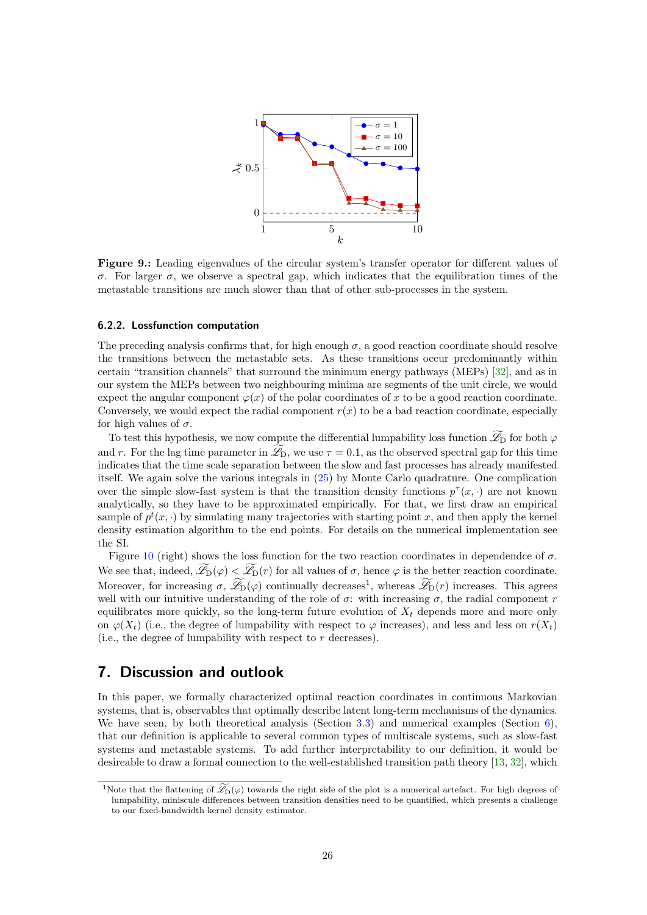<span id="page-25-1"></span>

Figure 9.: Leading eigenvalues of the circular system's transfer operator for different values of σ. For larger σ, we observe a spectral gap, which indicates that the equilibration times of the metastable transitions are much slower than that of other sub-processes in the system.

#### 6.2.2. Lossfunction computation

The preceding analysis confirms that, for high enough  $\sigma$ , a good reaction coordinate should resolve the transitions between the metastable sets. As these transitions occur predominantly within certain "transition channels" that surround the minimum energy pathways (MEPs) [\[32\]](#page-28-19), and as in our system the MEPs between two neighbouring minima are segments of the unit circle, we would expect the angular component  $\varphi(x)$  of the polar coordinates of x to be a good reaction coordinate. Conversely, we would expect the radial component  $r(x)$  to be a bad reaction coordinate, especially for high values of  $\sigma$ .

To test this hypothesis, we now compute the differential lumpability loss function  $\mathscr{L}_{D}$  for both  $\varphi$ and r. For the lag time parameter in  $\mathscr{L}_{D}$ , we use  $\tau = 0.1$ , as the observed spectral gap for this time indicates that the time scale separation between the slow and fast processes has already manifested itself. We again solve the various integrals in [\(25\)](#page-16-0) by Monte Carlo quadrature. One complication over the simple slow-fast system is that the transition density functions  $p^{\tau}(x, \cdot)$  are not known analytically, so they have to be approximated empirically. For that, we first draw an empirical sample of  $p^t(x, \cdot)$  by simulating many trajectories with starting point x, and then apply the kernel density estimation algorithm to the end points. For details on the numerical implementation see the SI.

Figure [10](#page-26-2) (right) shows the loss function for the two reaction coordinates in dependendce of  $\sigma$ . We see that, indeed,  $\widetilde{\mathscr{L}}_D(\varphi) < \widetilde{\mathscr{L}}_D(r)$  for all values of  $\sigma$ , hence  $\varphi$  is the better reaction coordinate. Moreover, for increasing  $\sigma$ ,  $\mathscr{L}_{D}(\varphi)$  continually decreases<sup>1</sup>, whereas  $\mathscr{L}_{D}(r)$  increases. This agrees well with our intuitive understanding of the role of  $\sigma$ : with increasing  $\sigma$ , the radial component r equilibrates more quickly, so the long-term future evolution of  $X_t$  depends more and more only on  $\varphi(X_t)$  (i.e., the degree of lumpability with respect to  $\varphi$  increases), and less and less on  $r(X_t)$ (i.e., the degree of lumpability with respect to  $r$  decreases).

## <span id="page-25-0"></span>7. Discussion and outlook

In this paper, we formally characterized optimal reaction coordinates in continuous Markovian systems, that is, observables that optimally describe latent long-term mechanisms of the dynamics. We have seen, by both theoretical analysis (Section [3.3\)](#page-7-3) and numerical examples (Section [6\)](#page-18-0), that our definition is applicable to several common types of multiscale systems, such as slow-fast systems and metastable systems. To add further interpretability to our definition, it would be desireable to draw a formal connection to the well-established transition path theory [\[13,](#page-27-0) [32\]](#page-28-19), which

<sup>&</sup>lt;sup>1</sup>Note that the flattening of  $\mathcal{L}_{D}(\varphi)$  towards the right side of the plot is a numerical artefact. For high degrees of lumpability, miniscule differences between transition densities need to be quantified, which presents a challenge to our fixed-bandwidth kernel density estimator.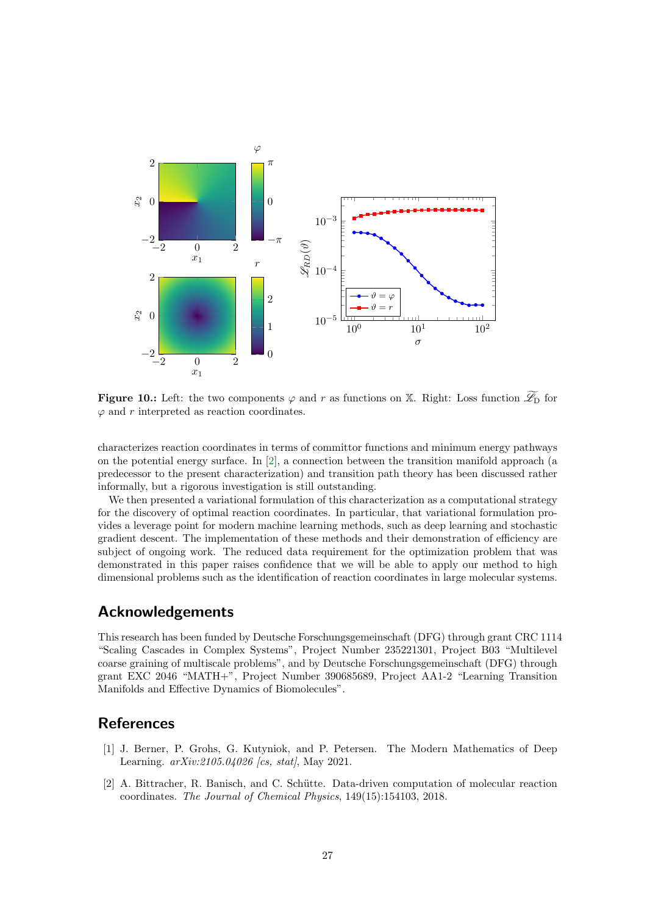<span id="page-26-2"></span>

**Figure 10.:** Left: the two components  $\varphi$  and r as functions on X. Right: Loss function  $\widetilde{\mathscr{L}}_D$  for  $\varphi$  and r interpreted as reaction coordinates.

characterizes reaction coordinates in terms of committor functions and minimum energy pathways on the potential energy surface. In [\[2\]](#page-26-1), a connection between the transition manifold approach (a predecessor to the present characterization) and transition path theory has been discussed rather informally, but a rigorous investigation is still outstanding.

We then presented a variational formulation of this characterization as a computational strategy for the discovery of optimal reaction coordinates. In particular, that variational formulation provides a leverage point for modern machine learning methods, such as deep learning and stochastic gradient descent. The implementation of these methods and their demonstration of efficiency are subject of ongoing work. The reduced data requirement for the optimization problem that was demonstrated in this paper raises confidence that we will be able to apply our method to high dimensional problems such as the identification of reaction coordinates in large molecular systems.

## Acknowledgements

This research has been funded by Deutsche Forschungsgemeinschaft (DFG) through grant CRC 1114 "Scaling Cascades in Complex Systems", Project Number 235221301, Project B03 "Multilevel coarse graining of multiscale problems", and by Deutsche Forschungsgemeinschaft (DFG) through grant EXC 2046 "MATH+", Project Number 390685689, Project AA1-2 "Learning Transition Manifolds and Effective Dynamics of Biomolecules".

## References

- <span id="page-26-0"></span>[1] J. Berner, P. Grohs, G. Kutyniok, and P. Petersen. The Modern Mathematics of Deep Learning.  $arXiv:2105.04026$  [cs, stat], May 2021.
- <span id="page-26-1"></span>[2] A. Bittracher, R. Banisch, and C. Schütte. Data-driven computation of molecular reaction coordinates. The Journal of Chemical Physics, 149(15):154103, 2018.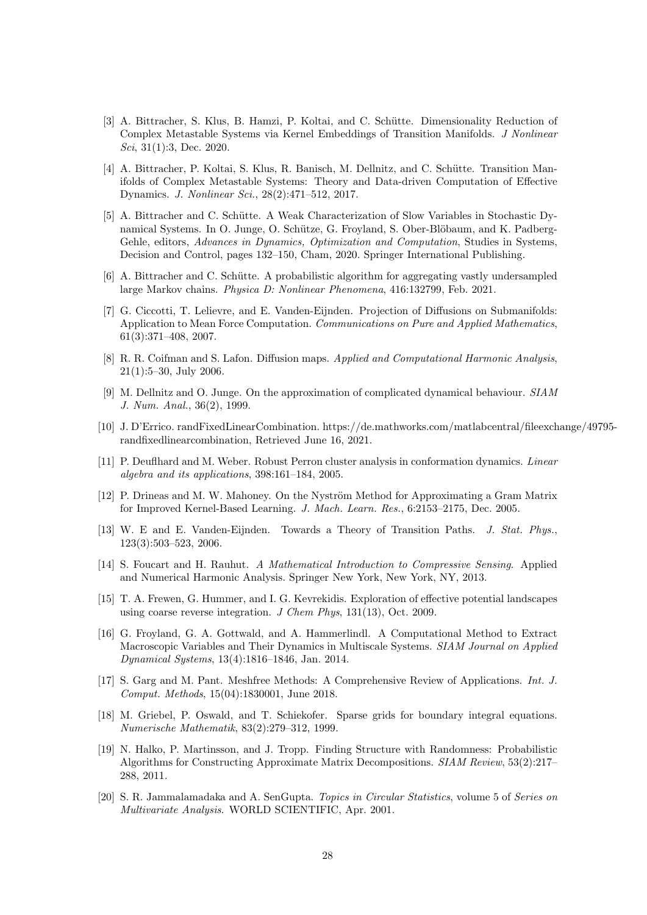- <span id="page-27-6"></span>[3] A. Bittracher, S. Klus, B. Hamzi, P. Koltai, and C. Schütte. Dimensionality Reduction of Complex Metastable Systems via Kernel Embeddings of Transition Manifolds. J Nonlinear Sci, 31(1):3, Dec. 2020.
- <span id="page-27-1"></span>[4] A. Bittracher, P. Koltai, S. Klus, R. Banisch, M. Dellnitz, and C. Schütte. Transition Manifolds of Complex Metastable Systems: Theory and Data-driven Computation of Effective Dynamics. J. Nonlinear Sci., 28(2):471–512, 2017.
- <span id="page-27-3"></span>[5] A. Bittracher and C. Schütte. A Weak Characterization of Slow Variables in Stochastic Dynamical Systems. In O. Junge, O. Schütze, G. Froyland, S. Ober-Blöbaum, and K. Padberg-Gehle, editors, Advances in Dynamics, Optimization and Computation, Studies in Systems, Decision and Control, pages 132–150, Cham, 2020. Springer International Publishing.
- <span id="page-27-8"></span> $[6]$  A. Bittracher and C. Schütte. A probabilistic algorithm for aggregating vastly undersampled large Markov chains. Physica D: Nonlinear Phenomena, 416:132799, Feb. 2021.
- <span id="page-27-15"></span>[7] G. Ciccotti, T. Lelievre, and E. Vanden-Eijnden. Projection of Diffusions on Submanifolds: Application to Mean Force Computation. Communications on Pure and Applied Mathematics, 61(3):371–408, 2007.
- <span id="page-27-12"></span>[8] R. R. Coifman and S. Lafon. Diffusion maps. Applied and Computational Harmonic Analysis, 21(1):5–30, July 2006.
- <span id="page-27-4"></span>[9] M. Dellnitz and O. Junge. On the approximation of complicated dynamical behaviour. SIAM J. Num. Anal., 36(2), 1999.
- <span id="page-27-17"></span>[10] J. D'Errico. randFixedLinearCombination. https://de.mathworks.com/matlabcentral/fileexchange/49795 randfixedlinearcombination, Retrieved June 16, 2021.
- <span id="page-27-5"></span>[11] P. Deuflhard and M. Weber. Robust Perron cluster analysis in conformation dynamics. Linear algebra and its applications, 398:161–184, 2005.
- <span id="page-27-11"></span>[12] P. Drineas and M. W. Mahoney. On the Nyström Method for Approximating a Gram Matrix for Improved Kernel-Based Learning. J. Mach. Learn. Res., 6:2153–2175, Dec. 2005.
- <span id="page-27-0"></span>[13] W. E and E. Vanden-Eijnden. Towards a Theory of Transition Paths. J. Stat. Phys., 123(3):503–523, 2006.
- <span id="page-27-9"></span>[14] S. Foucart and H. Rauhut. A Mathematical Introduction to Compressive Sensing. Applied and Numerical Harmonic Analysis. Springer New York, New York, NY, 2013.
- <span id="page-27-7"></span>[15] T. A. Frewen, G. Hummer, and I. G. Kevrekidis. Exploration of effective potential landscapes using coarse reverse integration. J Chem Phys, 131(13), Oct. 2009.
- <span id="page-27-2"></span>[16] G. Froyland, G. A. Gottwald, and A. Hammerlindl. A Computational Method to Extract Macroscopic Variables and Their Dynamics in Multiscale Systems. SIAM Journal on Applied Dynamical Systems, 13(4):1816–1846, Jan. 2014.
- <span id="page-27-14"></span>[17] S. Garg and M. Pant. Meshfree Methods: A Comprehensive Review of Applications. Int. J. Comput. Methods, 15(04):1830001, June 2018.
- <span id="page-27-13"></span>[18] M. Griebel, P. Oswald, and T. Schiekofer. Sparse grids for boundary integral equations. Numerische Mathematik, 83(2):279–312, 1999.
- <span id="page-27-10"></span>[19] N. Halko, P. Martinsson, and J. Tropp. Finding Structure with Randomness: Probabilistic Algorithms for Constructing Approximate Matrix Decompositions. SIAM Review, 53(2):217– 288, 2011.
- <span id="page-27-16"></span>[20] S. R. Jammalamadaka and A. SenGupta. Topics in Circular Statistics, volume 5 of Series on Multivariate Analysis. WORLD SCIENTIFIC, Apr. 2001.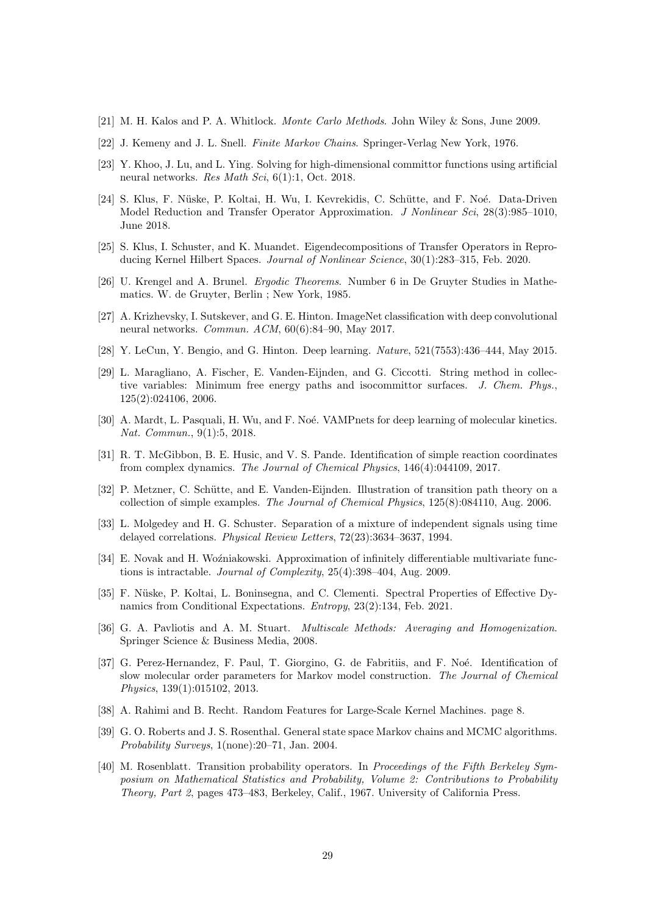- <span id="page-28-15"></span>[21] M. H. Kalos and P. A. Whitlock. Monte Carlo Methods. John Wiley & Sons, June 2009.
- <span id="page-28-0"></span>[22] J. Kemeny and J. L. Snell. Finite Markov Chains. Springer-Verlag New York, 1976.
- <span id="page-28-8"></span>[23] Y. Khoo, J. Lu, and L. Ying. Solving for high-dimensional committor functions using artificial neural networks. Res Math Sci, 6(1):1, Oct. 2018.
- <span id="page-28-7"></span>[24] S. Klus, F. Nüske, P. Koltai, H. Wu, I. Kevrekidis, C. Schütte, and F. Noé. Data-Driven Model Reduction and Transfer Operator Approximation. J Nonlinear Sci, 28(3):985–1010, June 2018.
- <span id="page-28-5"></span>[25] S. Klus, I. Schuster, and K. Muandet. Eigendecompositions of Transfer Operators in Reproducing Kernel Hilbert Spaces. Journal of Nonlinear Science, 30(1):283–315, Feb. 2020.
- <span id="page-28-12"></span>[26] U. Krengel and A. Brunel. Ergodic Theorems. Number 6 in De Gruyter Studies in Mathematics. W. de Gruyter, Berlin ; New York, 1985.
- <span id="page-28-18"></span>[27] A. Krizhevsky, I. Sutskever, and G. E. Hinton. ImageNet classification with deep convolutional neural networks. Commun. ACM, 60(6):84–90, May 2017.
- <span id="page-28-17"></span>[28] Y. LeCun, Y. Bengio, and G. Hinton. Deep learning. Nature, 521(7553):436–444, May 2015.
- <span id="page-28-1"></span>[29] L. Maragliano, A. Fischer, E. Vanden-Eijnden, and G. Ciccotti. String method in collective variables: Minimum free energy paths and isocommittor surfaces. J. Chem. Phys., 125(2):024106, 2006.
- <span id="page-28-9"></span>[30] A. Mardt, L. Pasquali, H. Wu, and F. Noé. VAMPnets for deep learning of molecular kinetics. Nat. Commun., 9(1):5, 2018.
- <span id="page-28-2"></span>[31] R. T. McGibbon, B. E. Husic, and V. S. Pande. Identification of simple reaction coordinates from complex dynamics. The Journal of Chemical Physics, 146(4):044109, 2017.
- <span id="page-28-19"></span>[32] P. Metzner, C. Schütte, and E. Vanden-Eijnden. Illustration of transition path theory on a collection of simple examples. The Journal of Chemical Physics, 125(8):084110, Aug. 2006.
- <span id="page-28-3"></span>[33] L. Molgedey and H. G. Schuster. Separation of a mixture of independent signals using time delayed correlations. Physical Review Letters, 72(23):3634–3637, 1994.
- <span id="page-28-16"></span>[34] E. Novak and H. Woźniakowski. Approximation of infinitely differentiable multivariate functions is intractable. Journal of Complexity, 25(4):398–404, Aug. 2009.
- <span id="page-28-14"></span>[35] F. Nüske, P. Koltai, L. Boninsegna, and C. Clementi. Spectral Properties of Effective Dynamics from Conditional Expectations. Entropy, 23(2):134, Feb. 2021.
- <span id="page-28-6"></span>[36] G. A. Pavliotis and A. M. Stuart. Multiscale Methods: Averaging and Homogenization. Springer Science & Business Media, 2008.
- <span id="page-28-4"></span>[37] G. Perez-Hernandez, F. Paul, T. Giorgino, G. de Fabritiis, and F. Noé. Identification of slow molecular order parameters for Markov model construction. The Journal of Chemical Physics, 139(1):015102, 2013.
- <span id="page-28-10"></span>[38] A. Rahimi and B. Recht. Random Features for Large-Scale Kernel Machines. page 8.
- <span id="page-28-13"></span>[39] G. O. Roberts and J. S. Rosenthal. General state space Markov chains and MCMC algorithms. Probability Surveys, 1(none):20–71, Jan. 2004.
- <span id="page-28-11"></span>[40] M. Rosenblatt. Transition probability operators. In Proceedings of the Fifth Berkeley Symposium on Mathematical Statistics and Probability, Volume 2: Contributions to Probability Theory, Part 2, pages 473–483, Berkeley, Calif., 1967. University of California Press.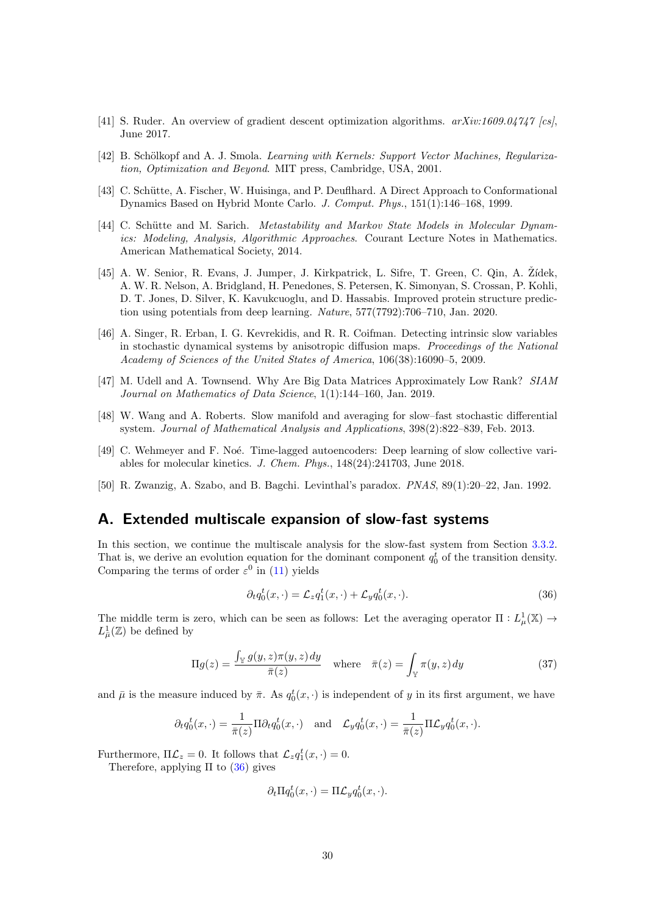- <span id="page-29-10"></span>[41] S. Ruder. An overview of gradient descent optimization algorithms.  $arXiv:1609.04747$  [cs], June 2017.
- <span id="page-29-8"></span>[42] B. Schölkopf and A. J. Smola. Learning with Kernels: Support Vector Machines, Regularization, Optimization and Beyond. MIT press, Cambridge, USA, 2001.
- <span id="page-29-4"></span>[43] C. Schütte, A. Fischer, W. Huisinga, and P. Deuflhard. A Direct Approach to Conformational Dynamics Based on Hybrid Monte Carlo. J. Comput. Phys., 151(1):146–168, 1999.
- <span id="page-29-1"></span>[44] C. Schütte and M. Sarich. Metastability and Markov State Models in Molecular Dynamics: Modeling, Analysis, Algorithmic Approaches. Courant Lecture Notes in Mathematics. American Mathematical Society, 2014.
- <span id="page-29-9"></span>[45] A. W. Senior, R. Evans, J. Jumper, J. Kirkpatrick, L. Sifre, T. Green, C. Qin, A. Žídek, A. W. R. Nelson, A. Bridgland, H. Penedones, S. Petersen, K. Simonyan, S. Crossan, P. Kohli, D. T. Jones, D. Silver, K. Kavukcuoglu, and D. Hassabis. Improved protein structure prediction using potentials from deep learning. Nature, 577(7792):706–710, Jan. 2020.
- <span id="page-29-3"></span>[46] A. Singer, R. Erban, I. G. Kevrekidis, and R. R. Coifman. Detecting intrinsic slow variables in stochastic dynamical systems by anisotropic diffusion maps. Proceedings of the National Academy of Sciences of the United States of America, 106(38):16090–5, 2009.
- <span id="page-29-6"></span>[47] M. Udell and A. Townsend. Why Are Big Data Matrices Approximately Low Rank? SIAM Journal on Mathematics of Data Science, 1(1):144–160, Jan. 2019.
- <span id="page-29-2"></span>[48] W. Wang and A. Roberts. Slow manifold and averaging for slow–fast stochastic differential system. Journal of Mathematical Analysis and Applications, 398(2):822–839, Feb. 2013.
- <span id="page-29-5"></span>[49] C. Wehmeyer and F. Noé. Time-lagged autoencoders: Deep learning of slow collective variables for molecular kinetics. J. Chem. Phys., 148(24):241703, June 2018.
- <span id="page-29-0"></span>[50] R. Zwanzig, A. Szabo, and B. Bagchi. Levinthal's paradox. PNAS, 89(1):20–22, Jan. 1992.

## <span id="page-29-7"></span>A. Extended multiscale expansion of slow-fast systems

In this section, we continue the multiscale analysis for the slow-fast system from Section [3.3.2.](#page-8-0) That is, we derive an evolution equation for the dominant component  $q_0^t$  of the transition density. Comparing the terms of order  $\varepsilon^0$  in [\(11\)](#page-9-2) yields

<span id="page-29-11"></span>
$$
\partial_t q_0^t(x,\cdot) = \mathcal{L}_z q_1^t(x,\cdot) + \mathcal{L}_y q_0^t(x,\cdot). \tag{36}
$$

The middle term is zero, which can be seen as follows: Let the averaging operator  $\Pi : L^1_\mu(\mathbb{X}) \to L^1(\mathbb{X})$  $L^1_{\bar{\mu}}(\mathbb{Z})$  be defined by

$$
\Pi g(z) = \frac{\int_{\mathbb{Y}} g(y, z) \pi(y, z) dy}{\bar{\pi}(z)} \quad \text{where} \quad \bar{\pi}(z) = \int_{\mathbb{Y}} \pi(y, z) dy \tag{37}
$$

and  $\bar{\mu}$  is the measure induced by  $\bar{\pi}$ . As  $q_0^t(x, \cdot)$  is independent of y in its first argument, we have

$$
\partial_t q_0^t(x,\cdot) = \frac{1}{\bar{\pi}(z)} \Pi \partial_t q_0^t(x,\cdot) \quad \text{and} \quad \mathcal{L}_y q_0^t(x,\cdot) = \frac{1}{\bar{\pi}(z)} \Pi \mathcal{L}_y q_0^t(x,\cdot).
$$

Furthermore,  $\Pi \mathcal{L}_z = 0$ . It follows that  $\mathcal{L}_z q_1^t(x, \cdot) = 0$ .

Therefore, applying  $\Pi$  to [\(36\)](#page-29-11) gives

$$
\partial_t \Pi q_0^t(x,\cdot) = \Pi \mathcal{L}_y q_0^t(x,\cdot).
$$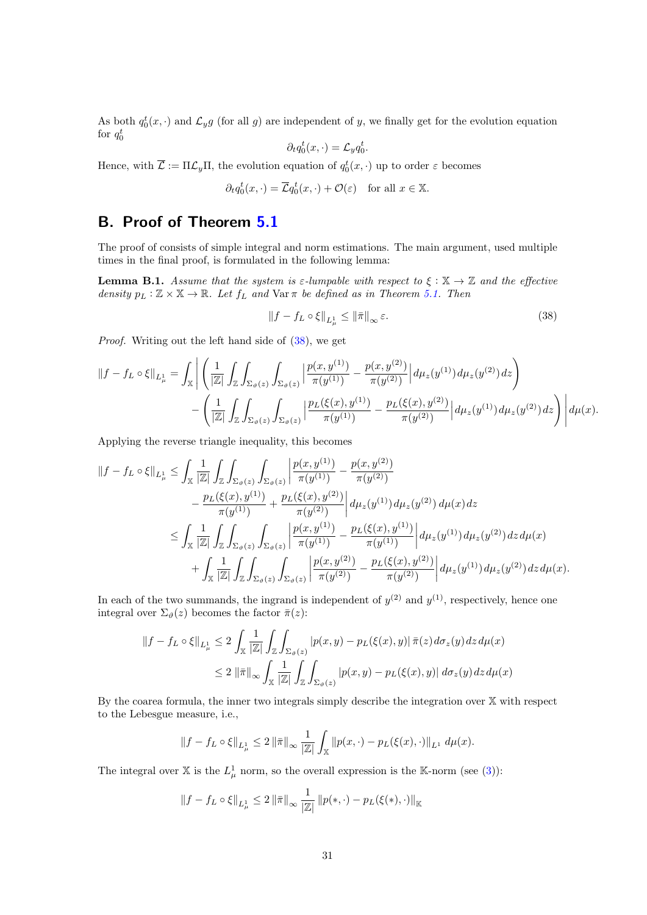As both  $q_0^t(x, \cdot)$  and  $\mathcal{L}_y g$  (for all g) are independent of y, we finally get for the evolution equation for  $q_0^t$ 

$$
\partial_t q_0^t(x,\cdot) = \mathcal{L}_y q_0^t.
$$

Hence, with  $\mathcal{L} := \Pi \mathcal{L}_y \Pi$ , the evolution equation of  $q_0^t(x, \cdot)$  up to order  $\varepsilon$  becomes

$$
\partial_t q_0^t(x,\cdot) = \overline{\mathcal{L}} q_0^t(x,\cdot) + \mathcal{O}(\varepsilon) \quad \text{for all } x \in \mathbb{X}.
$$

# <span id="page-30-0"></span>B. Proof of Theorem [5.1](#page-17-0)

The proof of consists of simple integral and norm estimations. The main argument, used multiple times in the final proof, is formulated in the following lemma:

<span id="page-30-2"></span>**Lemma B.1.** Assume that the system is  $\varepsilon$ -lumpable with respect to  $\xi : \mathbb{X} \to \mathbb{Z}$  and the effective density  $p_L : \mathbb{Z} \times \mathbb{X} \to \mathbb{R}$ . Let  $f_L$  and  $\text{Var } \pi$  be defined as in Theorem [5.1.](#page-17-0) Then

<span id="page-30-1"></span>
$$
||f - f_L \circ \xi||_{L^1_{\mu}} \le ||\bar{\pi}||_{\infty} \varepsilon. \tag{38}
$$

Proof. Writing out the left hand side of [\(38\)](#page-30-1), we get

$$
||f - f_L \circ \xi||_{L^1_{\mu}} = \int_{\mathbb{X}} \left| \left( \frac{1}{|\mathbb{Z}|} \int_{\mathbb{Z}} \int_{\Sigma_{\vartheta}(z)} \int_{\Sigma_{\vartheta}(z)} \left| \frac{p(x, y^{(1)})}{\pi(y^{(1)})} - \frac{p(x, y^{(2)})}{\pi(y^{(2)})} \right| d\mu_{z}(y^{(1)}) d\mu_{z}(y^{(2)}) dz \right) - \left( \frac{1}{|\mathbb{Z}|} \int_{\mathbb{Z}} \int_{\Sigma_{\vartheta}(z)} \int_{\Sigma_{\vartheta}(z)} \left| \frac{p_L(\xi(x), y^{(1)})}{\pi(y^{(1)})} - \frac{p_L(\xi(x), y^{(2)})}{\pi(y^{(2)})} \right| d\mu_{z}(y^{(1)}) d\mu_{z}(y^{(2)}) dz \right) d\mu(x).
$$

Applying the reverse triangle inequality, this becomes

$$
\begin{split} \|f - f_{L} \circ \xi\|_{L^{1}_{\mu}} &\leq \int_{\mathbb{X}} \frac{1}{|\mathbb{Z}|} \int_{\mathbb{Z}} \int_{\Sigma_{\vartheta}(z)} \int_{\Sigma_{\vartheta}(z)} \left| \frac{p(x, y^{(1)})}{\pi(y^{(1)})} - \frac{p(x, y^{(2)})}{\pi(y^{(2)})} \right| \\ &\quad - \frac{p_{L}(\xi(x), y^{(1)})}{\pi(y^{(1)})} + \frac{p_{L}(\xi(x), y^{(2)})}{\pi(y^{(2)})} \left| d\mu_{z}(y^{(1)}) d\mu_{z}(y^{(2)}) d\mu(x) dz \right| \\ &\leq \int_{\mathbb{X}} \frac{1}{|\mathbb{Z}|} \int_{\mathbb{Z}} \int_{\Sigma_{\vartheta}(z)} \int_{\Sigma_{\vartheta}(z)} \left| \frac{p(x, y^{(1)})}{\pi(y^{(1)})} - \frac{p_{L}(\xi(x), y^{(1)})}{\pi(y^{(1)})} \right| d\mu_{z}(y^{(1)}) d\mu_{z}(y^{(2)}) dz d\mu(x) \\ &\quad + \int_{\mathbb{X}} \frac{1}{|\mathbb{Z}|} \int_{\mathbb{Z}} \int_{\Sigma_{\vartheta}(z)} \int_{\Sigma_{\vartheta}(z)} \left| \frac{p(x, y^{(2)})}{\pi(y^{(2)})} - \frac{p_{L}(\xi(x), y^{(2)})}{\pi(y^{(2)})} \right| d\mu_{z}(y^{(1)}) d\mu_{z}(y^{(2)}) dz d\mu(x). \end{split}
$$

In each of the two summands, the ingrand is independent of  $y^{(2)}$  and  $y^{(1)}$ , respectively, hence one integral over  $\Sigma_{\vartheta}(z)$  becomes the factor  $\bar{\pi}(z)$ :

$$
\begin{aligned} \|f - f_L \circ \xi\|_{L^1_\mu} &\le 2 \int_{\mathbb{X}} \frac{1}{|\mathbb{Z}|} \int_{\mathbb{Z}} \int_{\Sigma_{\vartheta}(z)} |p(x, y) - p_L(\xi(x), y)| \, \bar{\pi}(z) \, d\sigma_z(y) \, dz \, d\mu(x) \\ &\le 2 \, \|\bar{\pi}\|_{\infty} \int_{\mathbb{X}} \frac{1}{|\mathbb{Z}|} \int_{\mathbb{Z}} \int_{\Sigma_{\vartheta}(z)} |p(x, y) - p_L(\xi(x), y)| \, d\sigma_z(y) \, dz \, d\mu(x) \end{aligned}
$$

By the coarea formula, the inner two integrals simply describe the integration over X with respect to the Lebesgue measure, i.e.,

$$
||f - f_L \circ \xi||_{L^1_{\mu}} \leq 2 ||\bar{\pi}||_{\infty} \frac{1}{|\mathbb{Z}|} \int_{\mathbb{X}} ||p(x, \cdot) - p_L(\xi(x), \cdot)||_{L^1} d\mu(x).
$$

The integral over X is the  $L^1_\mu$  norm, so the overall expression is the K-norm (see [\(3\)](#page-4-0)):

$$
||f - f_L \circ \xi||_{L^1_{\mu}} \le 2 ||\bar{\pi}||_{\infty} \frac{1}{|\mathbb{Z}|} ||p(*, \cdot) - p_L(\xi(*), \cdot)||_{\mathbb{K}}
$$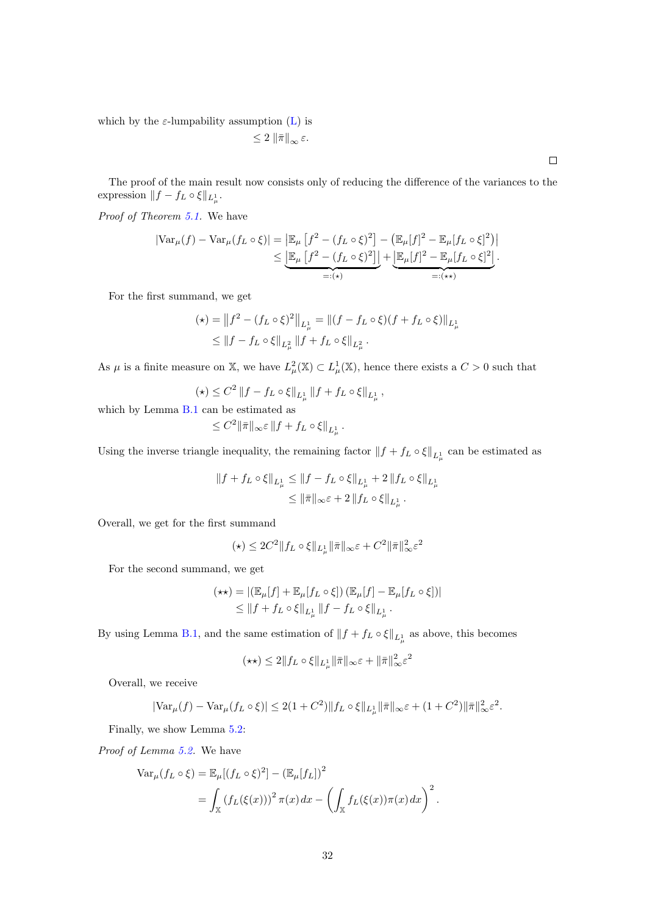which by the  $\varepsilon$ -lumpability assumption [\(L\)](#page-5-0) is  $\leq 2 \|\bar{\pi}\|_{\infty} \varepsilon.$ 

The proof of the main result now consists only of reducing the difference of the variances to the expression  $|| f - f_L \circ \xi ||_{L^1_{\mu}}$ .

Proof of Theorem [5.1.](#page-17-0) We have

$$
\begin{split} |\nabla \mathrm{ar}_{\mu}(f) - \nabla \mathrm{ar}_{\mu}(f_{L} \circ \xi)| &= \left| \mathbb{E}_{\mu} \left[ f^{2} - (f_{L} \circ \xi)^{2} \right] - \left( \mathbb{E}_{\mu} [f]^{2} - \mathbb{E}_{\mu} [f_{L} \circ \xi]^{2} \right) \right| \\ &\leq \underbrace{\left| \mathbb{E}_{\mu} \left[ f^{2} - (f_{L} \circ \xi)^{2} \right] \right|}_{=: (\star)} + \underbrace{\left| \mathbb{E}_{\mu} [f]^{2} - \mathbb{E}_{\mu} [f_{L} \circ \xi]^{2} \right|}_{=: (\star \star)}. \end{split}
$$

For the first summand, we get

$$
(\star) = \|f^2 - (f_L \circ \xi)^2\|_{L^1_\mu} = \|(f - f_L \circ \xi)(f + f_L \circ \xi)\|_{L^1_\mu}
$$
  

$$
\le \|f - f_L \circ \xi\|_{L^2_\mu} \|f + f_L \circ \xi\|_{L^2_\mu}.
$$

As  $\mu$  is a finite measure on X, we have  $L^2_{\mu}(\mathbb{X}) \subset L^1_{\mu}(\mathbb{X})$ , hence there exists a  $C > 0$  such that

$$
(\star) \leq C^2 \|f - f_L \circ \xi\|_{L^1_\mu} \|f + f_L \circ \xi\|_{L^1_\mu},
$$

which by Lemma [B.1](#page-30-2) can be estimated as

$$
\leq C^2 \|\bar\pi\|_\infty \varepsilon \, \|f+f_L\circ \xi\|_{L^1_\mu}\,.
$$

Using the inverse triangle inequality, the remaining factor  $|| f + f_L \circ \xi ||_{L^1_\mu}$  can be estimated as

$$
\begin{aligned} \|f+f_L\circ \xi\|_{L^1_\mu} &\le \|f-f_L\circ \xi\|_{L^1_\mu}+2\, \|f_L\circ \xi\|_{L^1_\mu} \\ &\le \|\bar\pi\|_\infty \varepsilon +2\, \|f_L\circ \xi\|_{L^1_\mu} \, . \end{aligned}
$$

Overall, we get for the first summand

$$
(\star) \le 2C^2 \|f_L \circ \xi\|_{L^1_\mu} \|\bar{\pi}\|_{\infty} \varepsilon + C^2 \|\bar{\pi}\|_{\infty}^2 \varepsilon^2
$$

For the second summand, we get

$$
(\star \star) = |(\mathbb{E}_{\mu}[f] + \mathbb{E}_{\mu}[f_L \circ \xi]) (\mathbb{E}_{\mu}[f] - \mathbb{E}_{\mu}[f_L \circ \xi])|
$$
  
\$\leq\$ 
$$
||f + f_L \circ \xi||_{L^1_{\mu}} ||f - f_L \circ \xi||_{L^1_{\mu}}.
$$

By using Lemma [B.1,](#page-30-2) and the same estimation of  $|| f + f_L \circ \xi ||_{L^1_{\mu}}$  as above, this becomes

$$
(\star\star)\leq 2\|f_L\circ\xi\|_{L^1_\mu}\|\bar{\pi}\|_\infty\varepsilon+\|\bar{\pi}\|_\infty^2\varepsilon^2
$$

Overall, we receive

$$
|\text{Var}_{\mu}(f) - \text{Var}_{\mu}(f_L \circ \xi)| \le 2(1+C^2) \|f_L \circ \xi\|_{L^1_{\mu}} \|\bar{\pi}\|_{\infty} \varepsilon + (1+C^2) \|\bar{\pi}\|_{\infty}^2 \varepsilon^2.
$$

Finally, we show Lemma [5.2:](#page-17-1)

Proof of Lemma [5.2.](#page-17-1) We have

$$
\begin{split} \text{Var}_{\mu}(f_L \circ \xi) &= \mathbb{E}_{\mu}[(f_L \circ \xi)^2] - (\mathbb{E}_{\mu}[f_L])^2 \\ &= \int_{\mathbb{X}} \left( f_L(\xi(x)) \right)^2 \pi(x) \, dx - \left( \int_{\mathbb{X}} f_L(\xi(x)) \pi(x) \, dx \right)^2. \end{split}
$$

 $\Box$